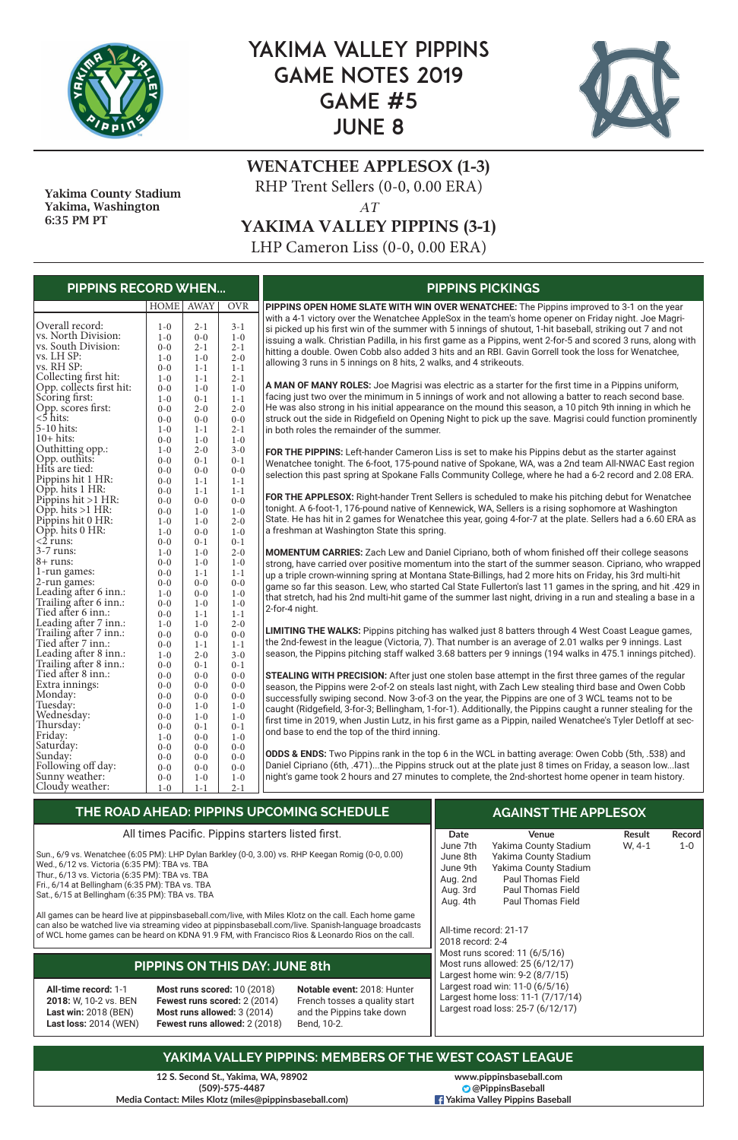# YAKIMA VALLEY PIPPINS GAME NOTES 2019 GAME #5 JUNE 8



# **WENATCHEE APPLESOX (1-3)** RHP Trent Sellers (0-0, 0.00 ERA)

*AT*

**YAKIMA VALLEY PIPPINS (3-1)**

LHP Cameron Liss (0-0, 0.00 ERA)

**12 S. Second St., Yakima, WA, 98902 (509)-575-4487 Media Contact: Miles Klotz (miles@pippinsbaseball.com)**



 Yakima County Stadium Yakima, Washington

6:35 PM PT

| <b>PIPPINS RECORD WHEN</b>          |                    |                |                  | <b>PIPPINS PICKINGS</b>                                                                                                                                                                                            |
|-------------------------------------|--------------------|----------------|------------------|--------------------------------------------------------------------------------------------------------------------------------------------------------------------------------------------------------------------|
|                                     | <b>HOME</b>        | <b>AWAY</b>    | <b>OVR</b>       | PIPPINS OPEN HOME SLATE WITH WIN OVER WENATCHEE: The Pippins improved to 3-1 on the year                                                                                                                           |
| Overall record:                     | $1-0$              | $2 - 1$        | $3 - 1$          | with a 4-1 victory over the Wenatchee AppleSox in the team's home opener on Friday night. Joe Magri-<br>si picked up his first win of the summer with 5 innings of shutout, 1-hit baseball, striking out 7 and not |
| <b>vs. North Division:</b>          | $1-0$              | $0-0$          | $1-0$            | issuing a walk. Christian Padilla, in his first game as a Pippins, went 2-for-5 and scored 3 runs, along with                                                                                                      |
| vs. South Division:                 | $0 - 0$            | $2 - 1$        | $2 - 1$          | hitting a double. Owen Cobb also added 3 hits and an RBI. Gavin Gorrell took the loss for Wenatchee,                                                                                                               |
| vs. LH SP:                          | $1-0$              | $1-0$          | $2 - 0$          |                                                                                                                                                                                                                    |
| vs. RH SP:                          | $0 - 0$            | $1 - 1$        | $1 - 1$          | allowing 3 runs in 5 innings on 8 hits, 2 walks, and 4 strikeouts.                                                                                                                                                 |
| Collecting first hit:               | $1-0$              | $1 - 1$        | $2 - 1$          |                                                                                                                                                                                                                    |
| Opp. collects first hit:            | $0 - 0$            | $1-0$          | $1 - 0$          | A MAN OF MANY ROLES: Joe Magrisi was electric as a starter for the first time in a Pippins uniform,                                                                                                                |
| Scoring first:                      | $1-0$              | $0 - 1$        | $1 - 1$          | facing just two over the minimum in 5 innings of work and not allowing a batter to reach second base.                                                                                                              |
| Opp. scores first:                  | $0 - 0$            | $2 - 0$        | $2 - 0$          | He was also strong in his initial appearance on the mound this season, a 10 pitch 9th inning in which he                                                                                                           |
| $<$ 5 hits:                         | $0 - 0$            | $0 - 0$        | $0 - 0$          | struck out the side in Ridgefield on Opening Night to pick up the save. Magrisi could function prominently                                                                                                         |
| 5-10 hits:                          | $1-0$              | $1 - 1$        | $2 - 1$          | in both roles the remainder of the summer.                                                                                                                                                                         |
| $10+$ hits:                         | $0 - 0$            | $1-0$          | $1-0$            |                                                                                                                                                                                                                    |
| Outhitting opp.:                    | $1-0$              | $2 - 0$        | $3 - 0$          | FOR THE PIPPINS: Left-hander Cameron Liss is set to make his Pippins debut as the starter against                                                                                                                  |
| Opp. outhits:                       | $0 - 0$            | $0 - 1$        | $0 - 1$          | Wenatchee tonight. The 6-foot, 175-pound native of Spokane, WA, was a 2nd team All-NWAC East region                                                                                                                |
| Hits are tied:                      | $0 - 0$            | $0-0$          | $0 - 0$          | selection this past spring at Spokane Falls Community College, where he had a 6-2 record and 2.08 ERA.                                                                                                             |
| Pippins hit 1 HR:                   | $0 - 0$            | $1 - 1$        | $1 - 1$          |                                                                                                                                                                                                                    |
| $\overline{OPp}$ . hits 1 HR:       | $0 - 0$            | $1 - 1$        | $1 - 1$          | FOR THE APPLESOX: Right-hander Trent Sellers is scheduled to make his pitching debut for Wenatchee                                                                                                                 |
| Pippins hit >1 HR:                  | $0 - 0$            | $0-0$          | $0 - 0$          | tonight. A 6-foot-1, 176-pound native of Kennewick, WA, Sellers is a rising sophomore at Washington                                                                                                                |
| $\overline{Opp}$ . hits >1 HR:      | $0 - 0$            | $1-0$          | $1 - 0$          | State. He has hit in 2 games for Wenatchee this year, going 4-for-7 at the plate. Sellers had a 6.60 ERA as                                                                                                        |
| Pippins hit 0 HR:                   | $1-0$              | $1-0$          | $2 - 0$          |                                                                                                                                                                                                                    |
| Opp. hits 0 HR:                     | $1-0$              | $0 - 0$        | $1 - 0$          | a freshman at Washington State this spring.                                                                                                                                                                        |
| $\overline{2}$ runs:<br>$3-7$ runs: | $0 - 0$            | $0 - 1$        | $0 - 1$          |                                                                                                                                                                                                                    |
| $8 + \text{runs:}$                  | $1-0$              | $1-0$<br>$1-0$ | $2 - 0$          | <b>MOMENTUM CARRIES:</b> Zach Lew and Daniel Cipriano, both of whom finished off their college seasons                                                                                                             |
| 1-run games:                        | $0 - 0$            | $1 - 1$        | $1-0$<br>$1 - 1$ | strong, have carried over positive momentum into the start of the summer season. Cipriano, who wrapped                                                                                                             |
| 2-run games:                        | $0 - 0$<br>$0 - 0$ | $0-0$          | $0 - 0$          | up a triple crown-winning spring at Montana State-Billings, had 2 more hits on Friday, his 3rd multi-hit                                                                                                           |
| Leading after 6 inn.:               | $1-0$              | $0 - 0$        | $1 - 0$          | game so far this season. Lew, who started Cal State Fullerton's last 11 games in the spring, and hit .429 in                                                                                                       |
| Trailing after 6 inn.:              | $0 - 0$            | $1-0$          | $1-0$            | that stretch, had his 2nd multi-hit game of the summer last night, driving in a run and stealing a base in a                                                                                                       |
| Tied after 6 inn.:                  | $0 - 0$            | $1 - 1$        | $1 - 1$          | 2-for-4 night.                                                                                                                                                                                                     |
| Leading after 7 inn.:               | $1-0$              | $1-0$          | $2 - 0$          |                                                                                                                                                                                                                    |
| Trailing after 7 inn.:              | $0 - 0$            | $0-0$          | $0 - 0$          | LIMITING THE WALKS: Pippins pitching has walked just 8 batters through 4 West Coast League games,                                                                                                                  |
| Tied after 7 inn.:                  | $0 - 0$            | $1 - 1$        | $1 - 1$          | the 2nd-fewest in the league (Victoria, 7). That number is an average of 2.01 walks per 9 innings. Last                                                                                                            |
| Leading after 8 inn.:               | $1-0$              | $2 - 0$        | $3 - 0$          | season, the Pippins pitching staff walked 3.68 batters per 9 innings (194 walks in 475.1 innings pitched).                                                                                                         |
| Trailing after 8 inn.:              | $0 - 0$            | $0 - 1$        | $0 - 1$          |                                                                                                                                                                                                                    |
| Tied after 8 inn.:                  | $0 - 0$            | $0-0$          | $0 - 0$          | <b>STEALING WITH PRECISION:</b> After just one stolen base attempt in the first three games of the regular                                                                                                         |
| Extra innings:                      | $0-0$              | $0-0$          | $0-0$            | season, the Pippins were 2-of-2 on steals last night, with Zach Lew stealing third base and Owen Cobb                                                                                                              |
| Monday:                             | $0 - 0$            | $0-0$          | $0 - 0$          | successfully swiping second. Now 3-of-3 on the year, the Pippins are one of 3 WCL teams not to be                                                                                                                  |
| Tuesday:                            | $0 - 0$            | $1-0$          | $1-0$            | caught (Ridgefield, 3-for-3; Bellingham, 1-for-1). Additionally, the Pippins caught a runner stealing for the                                                                                                      |
| Wednesday:                          | $0 - 0$            | $1-0$          | $1-0$            | first time in 2019, when Justin Lutz, in his first game as a Pippin, nailed Wenatchee's Tyler Detloff at sec-                                                                                                      |
| Thursday:                           | $0 - 0$            | $0 - 1$        | $0 - 1$          |                                                                                                                                                                                                                    |
| Friday:                             | $1-0$              | $0-0$          | $1-0$            | ond base to end the top of the third inning.                                                                                                                                                                       |
| Saturday:                           | $0 - 0$            | $0 - 0$        | $0 - 0$          |                                                                                                                                                                                                                    |
| Sunday:                             | $0 - 0$            | $0 - 0$        | $0 - 0$          | ODDS & ENDS: Two Pippins rank in the top 6 in the WCL in batting average: Owen Cobb (5th, .538) and                                                                                                                |
| Following off day:                  | $0 - 0$            | $0-0$          | $0-0$            | Daniel Cipriano (6th, .471)the Pippins struck out at the plate just 8 times on Friday, a season lowlast                                                                                                            |
| Sunny weather:                      | $0 - 0$            | $1-0$          | $1 - 0$          | night's game took 2 hours and 27 minutes to complete, the 2nd-shortest home opener in team history.                                                                                                                |
| Cloudy weather:                     | $1-0$              | $1 - 1$        | $2 - 1$          |                                                                                                                                                                                                                    |

| $\,$ THE ROAD AHEAD: PIPPINS UPCOMING SCHEDULE $\,$ |      | <b>AGAINST THE APPLESOX</b> |        |        |
|-----------------------------------------------------|------|-----------------------------|--------|--------|
| All times Pacific. Pippins starters listed first.   | Date | <b>Venue</b>                | Result | Record |

| Wed., 6/12 vs. Victoria (6:35 PM): TBA vs. TBA<br>Thur., 6/13 vs. Victoria (6:35 PM): TBA vs. TBA<br>Fri., 6/14 at Bellingham (6:35 PM): TBA vs. TBA<br>Sat., 6/15 at Bellingham (6:35 PM): TBA vs. TBA | All times Facilic. Fippins starters ilsted illst.<br>Sun., 6/9 vs. Wenatchee (6:05 PM): LHP Dylan Barkley (0-0, 3.00) vs. RHP Keegan Romig (0-0, 0.00)                                                                                                                                                                                                     | <b>Date</b><br>June 7th<br>June 8th<br>June 9th<br>Aug. 2nd<br>Aug. 3rd<br>Aug. 4th                                                              | venue<br>Yakima County Stadium<br>Yakima County Stadium<br>Yakima County Stadium<br><b>Paul Thomas Field</b><br>Paul Thomas Field<br>Paul Thomas Field | <b>Result</b><br>$W, 4-1$ | <b>Record</b><br>$1 - 0$ |  |
|---------------------------------------------------------------------------------------------------------------------------------------------------------------------------------------------------------|------------------------------------------------------------------------------------------------------------------------------------------------------------------------------------------------------------------------------------------------------------------------------------------------------------------------------------------------------------|--------------------------------------------------------------------------------------------------------------------------------------------------|--------------------------------------------------------------------------------------------------------------------------------------------------------|---------------------------|--------------------------|--|
|                                                                                                                                                                                                         | All games can be heard live at pippinsbaseball.com/live, with Miles Klotz on the call. Each home game<br>can also be watched live via streaming video at pippinsbaseball.com/live. Spanish-language broadcasts<br>of WCL home games can be heard on KDNA 91.9 FM, with Francisco Rios & Leonardo Rios on the call.<br><b>PIPPINS ON THIS DAY: JUNE 8th</b> | All-time record: 21-17<br>2018 record: 2-4<br>Most runs scored: 11 (6/5/16)<br>Most runs allowed: 25 (6/12/17)<br>Largest home win: 9-2 (8/7/15) |                                                                                                                                                        |                           |                          |  |
| All-time record: 1-1<br><b>2018:</b> W, 10-2 vs. BEN<br><b>Last win: 2018 (BEN)</b><br><b>Last loss: 2014 (WEN)</b>                                                                                     | <b>Most runs scored: 10 (2018)</b><br>Fewest runs scored: 2 (2014)<br>Most runs allowed: 3 (2014)<br><b>Fewest runs allowed: 2 (2018)</b>                                                                                                                                                                                                                  | Notable event: 2018: Hunter<br>French tosses a quality start<br>and the Pippins take down<br>Bend, 10-2.                                         | Largest road win: 11-0 (6/5/16)<br>Largest home loss: 11-1 (7/17/14)<br>Largest road loss: 25-7 (6/12/17)                                              |                           |                          |  |
|                                                                                                                                                                                                         |                                                                                                                                                                                                                                                                                                                                                            | YAKIMA VALLEY PIPPINS: MEMBERS OF THE WEST COAST LEAGUE                                                                                          |                                                                                                                                                        |                           |                          |  |

**www.pippinsbaseball.com @PippinsBaseball Yakima Valley Pippins Baseball**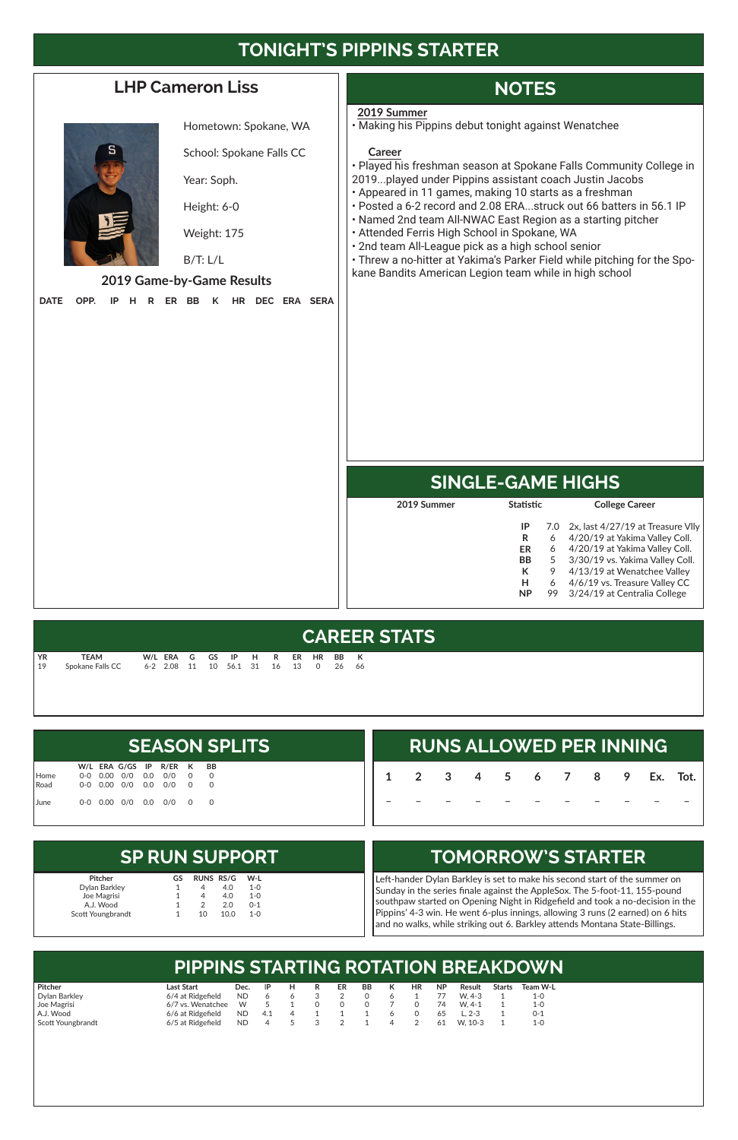# **TONIGHT'S PIPPINS STARTER**

### **LHP Cameron Liss**



Hometown: Spokane, WA

School: Spokane Falls CC

Year: Soph.

Height: 6-0

Weight: 175

B/T: L/L

#### **2019 Game-by-Game Results**

**DATE OPP. IP H R ER BB K HR DEC ERA SERA**

# **NOTES**

# **SINGLE-GAME HIGHS**

# **CAREER STATS**

# **PIPPINS STARTING ROTATION BREAKDOWN**

# **SP RUN SUPPORT**

# **TOMORROW'S STARTER**

Left-hander Dylan Barkley is set to make his second start of the summer on Sunday in the series finale against the AppleSox. The 5-foot-11, 155-pound southpaw started on Opening Night in Ridgefield and took a no-decision in the Pippins' 4-3 win. He went 6-plus innings, allowing 3 runs (2 earned) on 6 hits and no walks, while striking out 6. Barkley attends Montana State-Billings.

| <b>Pitcher</b>    | GS |    | <b>RUNS RS/G</b> | W-L          |  |
|-------------------|----|----|------------------|--------------|--|
| Dylan Barkley     |    |    | 4.0              | $1 - \Omega$ |  |
| Joe Magrisi       |    |    | 4.0              | $1 - \Omega$ |  |
| A.J. Wood         |    |    | 2.0              | $O - 1$      |  |
| Scott Youngbrandt |    | 10 | 10.0             | 1- $\Omega$  |  |
|                   |    |    |                  |              |  |

| <b>SEASON SPLITS</b> |  |  |                                      |                                         | <b>RUNS ALLOWED PER INNING</b>                |  |  |                 |  |  |  |          |  |
|----------------------|--|--|--------------------------------------|-----------------------------------------|-----------------------------------------------|--|--|-----------------|--|--|--|----------|--|
| <b>Home</b><br>Road  |  |  | 0-0 0.00 0/0 0.0<br>0-0 0.00 0/0 0.0 | W/L ERA G/GS IP R/ER K BB<br>0/0<br>O/O | $0\quad 0$<br>$\begin{matrix}0&0\end{matrix}$ |  |  | 2 3 4 5 6 7 8 9 |  |  |  | Ex. Tot. |  |
| <b>June</b>          |  |  |                                      | 0-0 0.00 0/0 0.0 0/0 0 0                |                                               |  |  |                 |  |  |  |          |  |

| YR | <b>TEAM</b> |  |  | W/LERAGGS IP HR ER HR BBK |  |  |  |
|----|-------------|--|--|---------------------------|--|--|--|
| 19 |             |  |  |                           |  |  |  |

| 2019 Summer | <b>Statistic</b> |     | <b>College Career</b>                 |
|-------------|------------------|-----|---------------------------------------|
|             | IP               |     | 7.0 2x, last 4/27/19 at Treasure VIIy |
|             | R                | 6   | 4/20/19 at Yakima Valley Coll.        |
|             | ER               | 6   | 4/20/19 at Yakima Valley Coll.        |
|             | BB               | 5   | 3/30/19 vs. Yakima Valley Coll.       |
|             | К                | 9   | 4/13/19 at Wenatchee Valley           |
|             | н                | 6   | 4/6/19 vs. Treasure Valley CC         |
|             | <b>NP</b>        | 99. | 3/24/19 at Centralia College          |
|             |                  |     |                                       |

| <b>Pitcher</b>    | Last Start        | Dec.      |     |   | ER | BB | к | HR | <b>NP</b> | Result       | <b>Starts</b> | Team W-L |
|-------------------|-------------------|-----------|-----|---|----|----|---|----|-----------|--------------|---------------|----------|
| Dylan Barkley     | 6/4 at Ridgefield | ND        |     |   |    |    |   |    |           | W. 4-3       |               | 1-0      |
| Joe Magrisi       | 6/7 vs. Wenatchee | W.        |     |   |    |    |   |    | 74        | $W. 4-1$     |               | 1-0      |
| A.J. Wood         | 6/6 at Ridgefield | <b>ND</b> | 4.1 | 4 |    |    |   |    | 65        | $L. 2 - 3$   |               | $O-1$    |
| Scott Youngbrandt | 6/5 at Ridgefield | ND        |     |   |    |    |   |    | -61       | W.<br>$10-3$ |               | 1-0      |

#### **2019 Summer**

• Making his Pippins debut tonight against Wenatchee

#### **Career**

• Played his freshman season at Spokane Falls Community College in 2019...played under Pippins assistant coach Justin Jacobs • Appeared in 11 games, making 10 starts as a freshman

- Posted a 6-2 record and 2.08 ERA...struck out 66 batters in 56.1 IP
- Named 2nd team All-NWAC East Region as a starting pitcher
- Attended Ferris High School in Spokane, WA
- 2nd team All-League pick as a high school senior

• Threw a no-hitter at Yakima's Parker Field while pitching for the Spokane Bandits American Legion team while in high school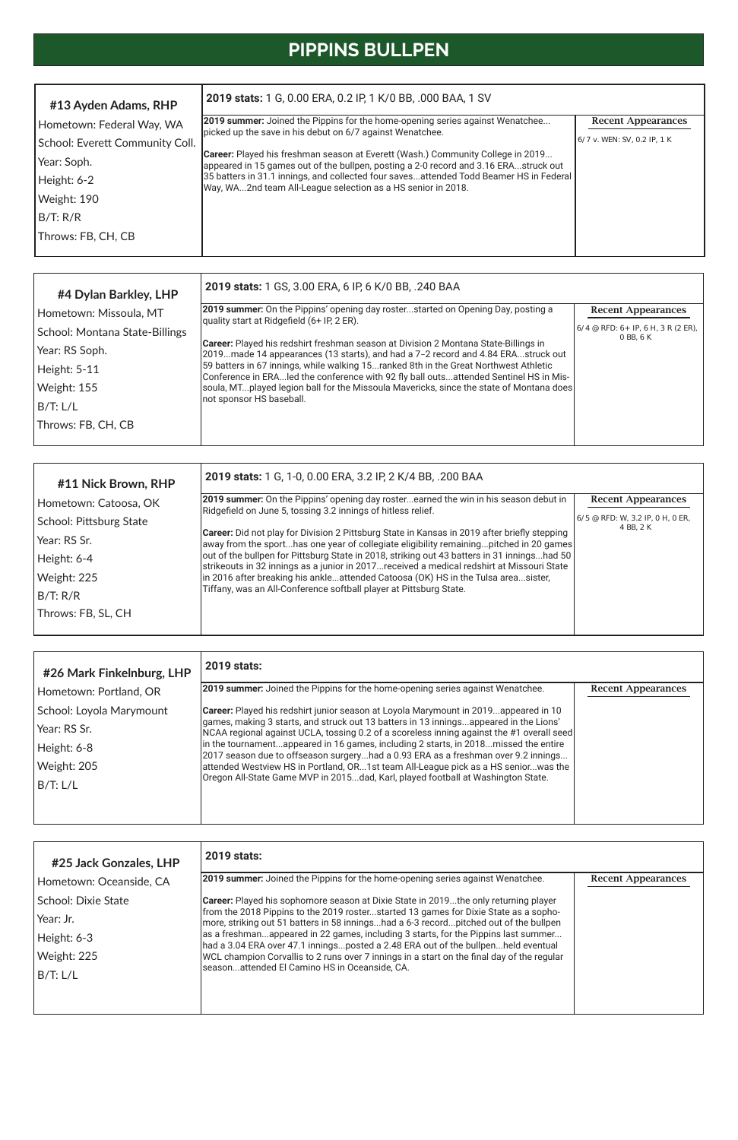# **PIPPINS BULLPEN**

| #11 Nick Brown, RHP     | 2019 stats: 1 G, 1-0, 0.00 ERA, 3.2 IP, 2 K/4 BB, .200 BAA                                                                                                                                    |                                                 |
|-------------------------|-----------------------------------------------------------------------------------------------------------------------------------------------------------------------------------------------|-------------------------------------------------|
| Hometown: Catoosa, OK   | 2019 summer: On the Pippins' opening day rosterearned the win in his season debut in<br>Ridgefield on June 5, tossing 3.2 innings of hitless relief.                                          | <b>Recent Appearances</b>                       |
| School: Pittsburg State |                                                                                                                                                                                               | $6/5$ @ RFD: W, 3.2 IP, 0 H, 0 ER,<br>4 BB, 2 K |
| Year: RS Sr.            | <b>Career:</b> Did not play for Division 2 Pittsburg State in Kansas in 2019 after briefly stepping<br>away from the sporthas one year of collegiate eligibility remainingpitched in 20 games |                                                 |
| Height: 6-4             | out of the bullpen for Pittsburg State in 2018, striking out 43 batters in 31 inningshad 50<br>strikeouts in 32 innings as a junior in 2017received a medical redshirt at Missouri State      |                                                 |
| Weight: 225             | in 2016 after breaking his ankleattended Catoosa (OK) HS in the Tulsa areasister,                                                                                                             |                                                 |
| B/T: R/R                | Tiffany, was an All-Conference softball player at Pittsburg State.                                                                                                                            |                                                 |
| Throws: FB, SL, CH      |                                                                                                                                                                                               |                                                 |
|                         |                                                                                                                                                                                               |                                                 |

| #4 Dylan Barkley, LHP          | 2019 stats: 1 GS, 3.00 ERA, 6 IP, 6 K/0 BB, .240 BAA                                                                                                                          |                                                   |
|--------------------------------|-------------------------------------------------------------------------------------------------------------------------------------------------------------------------------|---------------------------------------------------|
| Hometown: Missoula, MT         | 2019 summer: On the Pippins' opening day rosterstarted on Opening Day, posting a<br>quality start at Ridgefield (6+ IP, 2 ER).                                                | <b>Recent Appearances</b>                         |
| School: Montana State-Billings |                                                                                                                                                                               | $6/4$ @ RFD: 6+ IP, 6 H, 3 R (2 ER),<br>0 BB, 6 K |
| Year: RS Soph.                 | Career: Played his redshirt freshman season at Division 2 Montana State-Billings in<br>2019made 14 appearances (13 starts), and had a 7-2 record and 4.84 ERAstruck out       |                                                   |
| Height: 5-11                   | 59 batters in 67 innings, while walking 15ranked 8th in the Great Northwest Athletic<br>Conference in ERAled the conference with 92 fly ball outsattended Sentinel HS in Mis- |                                                   |
| Weight: 155                    | soula, MTplayed legion ball for the Missoula Mavericks, since the state of Montana does                                                                                       |                                                   |
| B/T: L/L                       | not sponsor HS baseball.                                                                                                                                                      |                                                   |
| Throws: FB, CH, CB             |                                                                                                                                                                               |                                                   |
|                                |                                                                                                                                                                               |                                                   |

| #26 Mark Finkelnburg, LHP | <b>2019 stats:</b>                                                                                                                                                                 |                           |
|---------------------------|------------------------------------------------------------------------------------------------------------------------------------------------------------------------------------|---------------------------|
| Hometown: Portland, OR    | 2019 summer: Joined the Pippins for the home-opening series against Wenatchee.                                                                                                     | <b>Recent Appearances</b> |
| School: Loyola Marymount  | Career: Played his redshirt junior season at Loyola Marymount in 2019appeared in 10                                                                                                |                           |
| Year: RS Sr.              | games, making 3 starts, and struck out 13 batters in 13 inningsappeared in the Lions'<br>NCAA regional against UCLA, tossing 0.2 of a scoreless inning against the #1 overall seed |                           |
| Height: 6-8               | in the tournamentappeared in 16 games, including 2 starts, in 2018missed the entire<br>2017 season due to offseason surgeryhad a 0.93 ERA as a freshman over 9.2 innings           |                           |
| Weight: 205               | attended Westview HS in Portland, OR1st team All-League pick as a HS seniorwas the                                                                                                 |                           |
| B/T: L/L                  | Oregon All-State Game MVP in 2015dad, Karl, played football at Washington State.                                                                                                   |                           |
|                           |                                                                                                                                                                                    |                           |

| #25 Jack Gonzales, LHP  | <b>2019 stats:</b>                                                                                                                                                            |                           |
|-------------------------|-------------------------------------------------------------------------------------------------------------------------------------------------------------------------------|---------------------------|
| Hometown: Oceanside, CA | 2019 summer: Joined the Pippins for the home-opening series against Wenatchee.                                                                                                | <b>Recent Appearances</b> |
| School: Dixie State     | <b>Career:</b> Played his sophomore season at Dixie State in 2019the only returning player                                                                                    |                           |
| Year: Jr.               | from the 2018 Pippins to the 2019 rosterstarted 13 games for Dixie State as a sopho-<br>more, striking out 51 batters in 58 inningshad a 6-3 recordpitched out of the bullpen |                           |
| Height: 6-3             | as a freshmanappeared in 22 games, including 3 starts, for the Pippins last summer<br>had a 3.04 ERA over 47.1 inningsposted a 2.48 ERA out of the bullpenheld eventual       |                           |
| Weight: 225             | WCL champion Corvallis to 2 runs over 7 innings in a start on the final day of the regular                                                                                    |                           |
| B/T: L/L                | seasonattended El Camino HS in Oceanside, CA.                                                                                                                                 |                           |
|                         |                                                                                                                                                                               |                           |
|                         |                                                                                                                                                                               |                           |

| #13 Ayden Adams, RHP            | 2019 stats: 1 G, 0.00 ERA, 0.2 IP, 1 K/0 BB, .000 BAA, 1 SV                                                                                                             |                             |
|---------------------------------|-------------------------------------------------------------------------------------------------------------------------------------------------------------------------|-----------------------------|
| Hometown: Federal Way, WA       | <b>2019 summer:</b> Joined the Pippins for the home-opening series against Wenatchee<br>picked up the save in his debut on 6/7 against Wenatchee.                       | <b>Recent Appearances</b>   |
| School: Everett Community Coll. |                                                                                                                                                                         | 6/7 v. WEN: SV, 0.2 IP, 1 K |
| Year: Soph.                     | Career: Played his freshman season at Everett (Wash.) Community College in 2019<br>appeared in 15 games out of the bullpen, posting a 2-0 record and 3.16 ERAstruck out |                             |
| Height: 6-2                     | 35 batters in 31.1 innings, and collected four savesattended Todd Beamer HS in Federal<br>Way, WA2nd team All-League selection as a HS senior in 2018.                  |                             |
| Weight: 190                     |                                                                                                                                                                         |                             |
| B/T: R/R                        |                                                                                                                                                                         |                             |
| Throws: FB, CH, CB              |                                                                                                                                                                         |                             |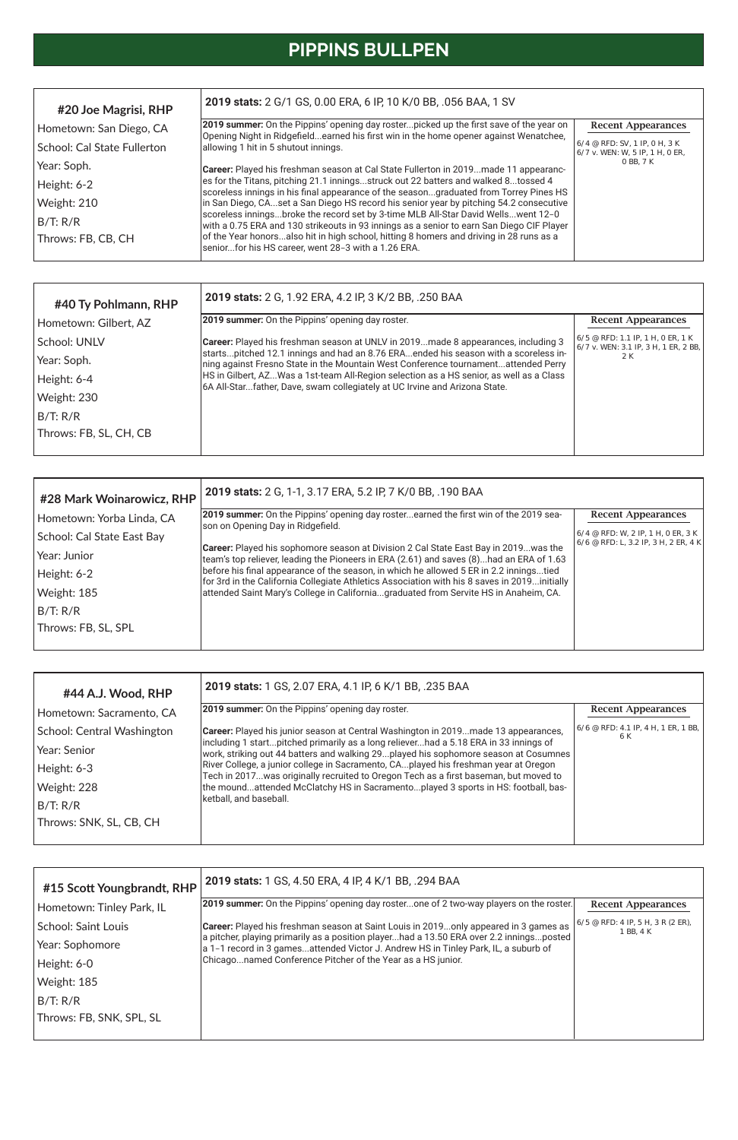# **PIPPINS BULLPEN**

| #15 Scott Youngbrandt, RHP | 2019 stats: 1 GS, 4.50 ERA, 4 IP, 4 K/1 BB, .294 BAA                                                                                                                           |                                                  |
|----------------------------|--------------------------------------------------------------------------------------------------------------------------------------------------------------------------------|--------------------------------------------------|
| Hometown: Tinley Park, IL  | [2019 summer: On the Pippins' opening day rosterone of 2 two-way players on the roster.]                                                                                       | <b>Recent Appearances</b>                        |
| School: Saint Louis        | <b>Career:</b> Played his freshman season at Saint Louis in 2019only appeared in 3 games as                                                                                    | $6/5$ @ RFD: 4 IP, 5 H, 3 R (2 ER),<br>1 BB. 4 K |
| Year: Sophomore            | a pitcher, playing primarily as a position playerhad a 13.50 ERA over 2.2 inningsposted<br>a 1-1 record in 3 gamesattended Victor J. Andrew HS in Tinley Park, IL, a suburb of |                                                  |
| Height: 6-0                | Chicagonamed Conference Pitcher of the Year as a HS junior.                                                                                                                    |                                                  |
| Weight: 185                |                                                                                                                                                                                |                                                  |
| B/T: R/R                   |                                                                                                                                                                                |                                                  |
| Throws: FB, SNK, SPL, SL   |                                                                                                                                                                                |                                                  |

| #44 A.J. Wood, RHP         | 2019 stats: 1 GS, 2.07 ERA, 4.1 IP, 6 K/1 BB, .235 BAA                                                                                                                      |                                              |
|----------------------------|-----------------------------------------------------------------------------------------------------------------------------------------------------------------------------|----------------------------------------------|
| Hometown: Sacramento, CA   | <b>2019 summer:</b> On the Pippins' opening day roster.                                                                                                                     | <b>Recent Appearances</b>                    |
| School: Central Washington | Career: Played his junior season at Central Washington in 2019made 13 appearances,                                                                                          | $6/6$ @ RFD: 4.1 IP, 4 H, 1 ER, 1 BB,<br>6 K |
| Year: Senior               | including 1 startpitched primarily as a long relieverhad a 5.18 ERA in 33 innings of<br>work, striking out 44 batters and walking 29played his sophomore season at Cosumnes |                                              |
| Height: 6-3                | River College, a junior college in Sacramento, CAplayed his freshman year at Oregon<br>Tech in 2017was originally recruited to Oregon Tech as a first baseman, but moved to |                                              |
| Weight: 228                | the moundattended McClatchy HS in Sacramentoplayed 3 sports in HS: football, bas-                                                                                           |                                              |
| B/T: R/R                   | ketball, and baseball.                                                                                                                                                      |                                              |
| Throws: SNK, SL, CB, CH    |                                                                                                                                                                             |                                              |
|                            |                                                                                                                                                                             |                                              |

| #28 Mark Woinarowicz, RHP  | 2019 stats: 2 G, 1-1, 3.17 ERA, 5.2 IP, 7 K/0 BB, .190 BAA                                                                                                                             |                                                                                                     |
|----------------------------|----------------------------------------------------------------------------------------------------------------------------------------------------------------------------------------|-----------------------------------------------------------------------------------------------------|
| Hometown: Yorba Linda, CA  | 2019 summer: On the Pippins' opening day rosterearned the first win of the 2019 sea-<br>son on Opening Day in Ridgefield.                                                              | <b>Recent Appearances</b>                                                                           |
| School: Cal State East Bay |                                                                                                                                                                                        | $(6/4 \oslash$ RFD: W, 2 IP, 1 H, 0 ER, 3 K $\mid$<br>$(6/6 \oslash$ RFD: L, 3.2 IP, 3 H, 2 ER, 4 K |
| Year: Junior               | <b>Career:</b> Played his sophomore season at Division 2 Cal State East Bay in 2019was the<br>team's top reliever, leading the Pioneers in ERA (2.61) and saves (8)had an ERA of 1.63  |                                                                                                     |
| Height: 6-2                | before his final appearance of the season, in which he allowed 5 ER in 2.2 inningstied<br>for 3rd in the California Collegiate Athletics Association with his 8 saves in 2019initially |                                                                                                     |
| Weight: 185                | attended Saint Mary's College in Californiagraduated from Servite HS in Anaheim, CA.                                                                                                   |                                                                                                     |
| B/T: R/R                   |                                                                                                                                                                                        |                                                                                                     |
| Throws: FB, SL, SPL        |                                                                                                                                                                                        |                                                                                                     |
|                            |                                                                                                                                                                                        |                                                                                                     |

| #40 Ty Pohlmann, RHP   | 2019 stats: 2 G, 1.92 ERA, 4.2 IP, 3 K/2 BB, .250 BAA                                                                                                                     |                                                                             |
|------------------------|---------------------------------------------------------------------------------------------------------------------------------------------------------------------------|-----------------------------------------------------------------------------|
| Hometown: Gilbert, AZ  | <b>2019 summer:</b> On the Pippins' opening day roster.                                                                                                                   | <b>Recent Appearances</b>                                                   |
| School: UNLV           | <b>Career:</b> Played his freshman season at UNLV in 2019made 8 appearances, including 3                                                                                  | $6/5$ @ RFD: 1.1 IP, 1 H, 0 ER, 1 K<br>6/7 v. WEN: 3.1 IP, 3 H, 1 ER, 2 BB, |
| Year: Soph.            | startspitched 12.1 innings and had an 8.76 ERAended his season with a scoreless in-<br>ning against Fresno State in the Mountain West Conference tournamentattended Perry | 2 K                                                                         |
| Height: 6-4            | [HS in Gilbert, AZWas a 1st-team All-Region selection as a HS senior, as well as a Class<br>6A All-Starfather, Dave, swam collegiately at UC Irvine and Arizona State.    |                                                                             |
| Weight: 230            |                                                                                                                                                                           |                                                                             |
| B/T: R/R               |                                                                                                                                                                           |                                                                             |
| Throws: FB, SL, CH, CB |                                                                                                                                                                           |                                                                             |
|                        |                                                                                                                                                                           |                                                                             |

| #20 Joe Magrisi, RHP        | 2019 stats: 2 G/1 GS, 0.00 ERA, 6 IP, 10 K/0 BB, .056 BAA, 1 SV                                                                                                                 |                                                                    |
|-----------------------------|---------------------------------------------------------------------------------------------------------------------------------------------------------------------------------|--------------------------------------------------------------------|
| Hometown: San Diego, CA     | 2019 summer: On the Pippins' opening day rosterpicked up the first save of the year on<br>Opening Night in Ridgefieldearned his first win in the home opener against Wenatchee, | <b>Recent Appearances</b>                                          |
| School: Cal State Fullerton | allowing 1 hit in 5 shutout innings.                                                                                                                                            | $6/4$ @ RFD: SV, 1 IP, 0 H, 3 K<br>6/7 v. WEN: W, 5 IP, 1 H, 0 ER, |
| Year: Soph.                 | Career: Played his freshman season at Cal State Fullerton in 2019made 11 appearanc-                                                                                             | 0 BB, 7 K                                                          |
| Height: 6-2                 | es for the Titans, pitching 21.1 inningsstruck out 22 batters and walked 8tossed 4<br>scoreless innings in his final appearance of the seasongraduated from Torrey Pines HS     |                                                                    |
| Weight: 210                 | in San Diego, CAset a San Diego HS record his senior year by pitching 54.2 consecutive                                                                                          |                                                                    |
| B/T: R/R                    | scoreless inningsbroke the record set by 3-time MLB All-Star David Wellswent 12-0<br>with a 0.75 ERA and 130 strikeouts in 93 innings as a senior to earn San Diego CIF Player  |                                                                    |
| Throws: FB, CB, CH          | of the Year honorsalso hit in high school, hitting 8 homers and driving in 28 runs as a<br>seniorfor his HS career, went 28-3 with a 1.26 ERA.                                  |                                                                    |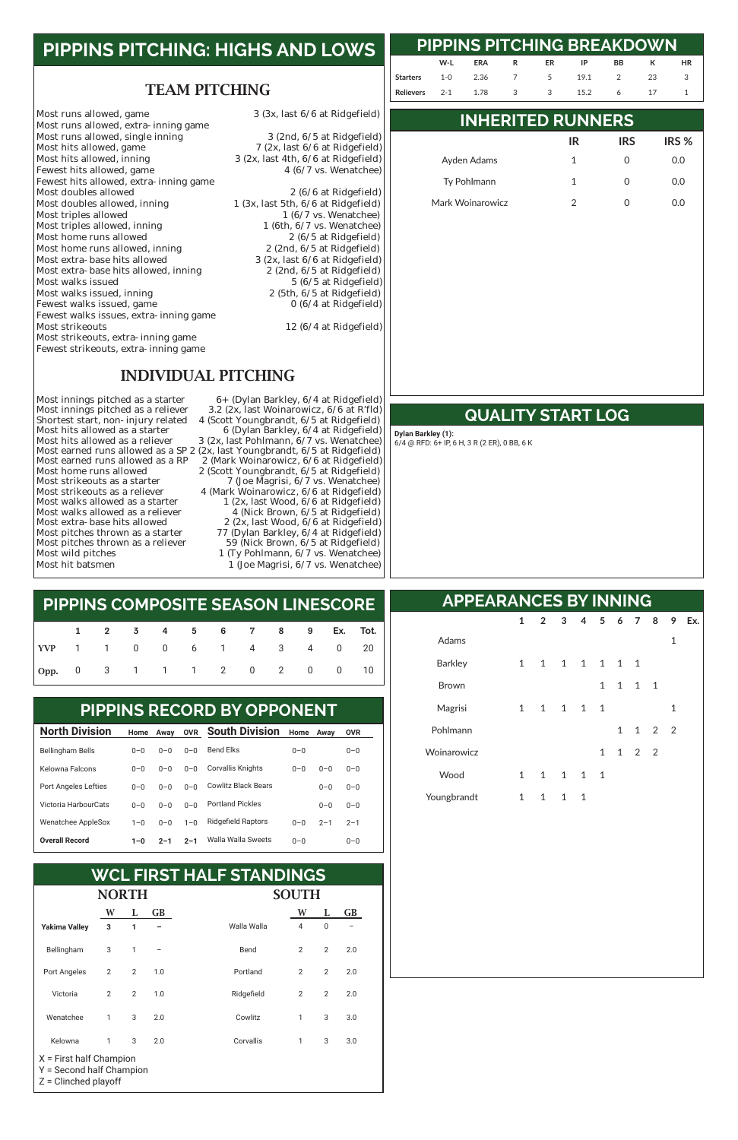#### TEAM PITCHING

Most runs allowed, game 3 (3x, last 6/6 at Ridgefield) Most runs allowed, extra-inning game Most runs allowed, single inning<br>
Most hits allowed, game<br>  $\frac{3}{2}$  (2nd, 6/5 at Ridgefield)<br>  $\frac{7}{2}$  (2x, last 6/6 at Ridgefield) Most hits allowed, game<br>
Most hits allowed, inning<br>  $\frac{7 (2x) \text{ last } 6/6 \text{ at Ridgefield}}{3 (2x) \text{ last } 4\text{th, } 6/6 \text{ at Ridgefield}}$ Fewest hits allowed, game Fewest hits allowed, extra-inning game<br>Most doubles allowed Most doubles allowed<br>Most doubles allowed, inning<br> $2 (6/6$  at Ridgefield)<br> $1 (3x, last 5th, 6/6$  at Ridgefield) Most doubles allowed, inning 1 (3x, last 5th, 6/6 at Ridgefield)<br>Most triples allowed 1 (6/7 vs. Wenatchee) Most triples allowed<br>
Most triples allowed, inning<br>  $1 (6/7 vs.$  Wenatchee)<br>  $1 (6th, 6/7 vs.$  Wenatchee) Most home runs allowed<br>
Most home runs allowed, inning<br>
2 (2nd, 6/5 at Ridgefield)<br>
2 (2nd, 6/5 at Ridgefield) Most home runs allowed, inning<br>
Most extra-base hits allowed<br>
2 (2x, last 6/6 at Ridgefield)<br>
3 (2x, last 6/6 at Ridgefield) Most extra-base hits allowed 3 (2x, last 6/6 at Ridgefield)<br>Most extra-base hits allowed, inning 2 (2nd, 6/5 at Ridgefield) Most extra-base hits allowed, inning<br>Most walks issued Most walks issued, inning<br>
Fewest walks issued, game<br>  $2 (5th, 6/5$  at Ridgefield)<br>  $0 (6/4$  at Ridgefield) Fewest walks issued, game Fewest walks issues, extra-inning game Most strikeouts, extra-inning game Fewest strikeouts, extra-inning game

 $3$  (2x, last 4th,  $6/6$  at Ridgefield)<br>4 ( $6/7$  vs. Wenatchee)

1 (6th,  $6/7$  vs. Wenatchee)<br>2 (6/5 at Ridgefield)  $5(6/5$  at Ridgefield)<br>2 (5th,  $6/5$  at Ridgefield)

 $12 (6/4$  at Ridgefield)

#### INDIVIDUAL PITCHING

Most innings pitched as a starter  $6+$  (Dylan Barkley,  $6/4$  at Ridgefield)<br>Most innings pitched as a reliever  $3.2$  (2x, last Woinarowicz,  $6/6$  at R'fld) 3.2 (2x, last Woinarowicz, 6/6 at R'fld) Shortest start, non-injury related 4 (Scott Youngbrandt, 6/5 at Ridgefield)<br>Most hits allowed as a starter 6 (Dylan Barkley, 6/4 at Ridgefield) Most hits allowed as a starter  $\begin{array}{r} 6 \text{ (Dylan Barkley, 6/4 at Ridgefield)} \\ \text{Most hits allowed as a reliever} \qquad 3 \text{ (2x, last Pohlmann, 6/7 vs. Wenatchee)} \end{array}$ 3 (2x, last Pohlmann, 6/7 vs. Wenatchee) Most earned runs allowed as a SP 2 (2x, last Youngbrandt, 6/5 at Ridgefield)<br>Most earned runs allowed as a RP 2 (Mark Woinarowicz, 6/6 at Ridgefield) Most earned runs allowed as a RP 2 (Mark Woinarowicz, 6/6 at Ridgefield)<br>Most home runs allowed 2 (Scott Youngbrandt, 6/5 at Ridgefield) Most home runs allowed 2 (Scott Youngbrandt, 6/5 at Ridgefield)<br>Most strikeouts as a starter 2 (Joe Magrisi, 6/7 vs. Wenatchee) Most strikeouts as a starter 7 (Joe Magrisi, 6/7 vs. Wenatchee)<br>Most strikeouts as a reliever 4 (Mark Woinarowicz, 6/6 at Ridgefield) Most strikeouts as a reliever 4 (Mark Woinarowicz, 6/6 at Ridgefield)<br>Most walks allowed as a starter 1 (2x, last Wood, 6/6 at Ridgefield) Most walks allowed as a starter 1 (2x, last Wood, 6/6 at Ridgefield)<br>Most walks allowed as a reliever 1 (Nick Brown, 6/5 at Ridgefield) Most walks allowed as a reliever  $\frac{4}{2}$  (Nick Brown, 6/5 at Ridgefield)<br>Most extra-base hits allowed  $\frac{2}{2}$  (2x, last Wood, 6/6 at Ridgefield) Most extra-base hits allowed<br>Most pitches thrown as a starter 27 (Dylan Barkley, 6/4 at Ridgefield) Most pitches thrown as a starter 77 (Dylan Barkley, 6/4 at Ridgefield)<br>Most pitches thrown as a reliever 59 (Nick Brown, 6/5 at Ridgefield) Most pitches thrown as a reliever 59 (Nick Brown, 6/5 at Ridgefield)<br>Most wild pitches 1 (Ty Pohlmann, 6/7 vs. Wenatchee) Most wild pitches 1 (Ty Pohlmann, 6/7 vs. Wenatchee)<br>Most hit batsmen 1 (Joe Magrisi, 6/7 vs. Wenatchee) 1 (Joe Magrisi, 6/7 vs. Wenatchee)

# **PIPPINS PITCHING: HIGHS AND LOWS**

| 1 2 3 4 5 6 7 8 9 Ex. Tot.  |  |  |  |  |  |  |
|-----------------------------|--|--|--|--|--|--|
| YVP 1 1 0 0 6 1 4 3 4 0 20  |  |  |  |  |  |  |
| Opp. 0 3 1 1 1 2 0 2 0 0 10 |  |  |  |  |  |  |

#### **PIPPINS COMPOSITE SEASON LINESCORE**

| <b>North Division</b>     | Home Away |         | <b>OVR</b> | <b>South Division</b>      | Home    | Awav    | <b>OVR</b> |
|---------------------------|-----------|---------|------------|----------------------------|---------|---------|------------|
| <b>Bellingham Bells</b>   | $0 - 0$   | $0 - 0$ | $0 - 0$    | Bend Elks                  | $0 - 0$ |         | $0 - 0$    |
| Kelowna Falcons           | $0 - 0$   | $0 - 0$ | $0 - 0$    | Corvallis Knights          | $0 - 0$ | $0 - 0$ | $0 - 0$    |
| Port Angeles Lefties      | $0 - 0$   | $0 - 0$ | $0 - 0$    | <b>Cowlitz Black Bears</b> |         | $0 - 0$ | $0 - 0$    |
| Victoria HarbourCats      | $0 - 0$   | $0 - 0$ | $0 - 0$    | <b>Portland Pickles</b>    |         | $0 - 0$ | $0 - 0$    |
| <b>Wenatchee AppleSox</b> | $1 - 0$   | $0 - 0$ | $1 - 0$    | <b>Ridgefield Raptors</b>  | $0 - 0$ | $2 - 1$ | $2 - 1$    |
|                           |           |         |            |                            |         |         |            |

#### PIPPINS RECORD BY OPPONENT **PIPPINS RECORD BY OPPONENT**

| <b>NORTH</b>                                                                    |                |              |           | ГH          |                |             |           |  |
|---------------------------------------------------------------------------------|----------------|--------------|-----------|-------------|----------------|-------------|-----------|--|
|                                                                                 | W              | L            | <b>GB</b> |             | W              | L           | <b>GB</b> |  |
| <b>Yakima Valley</b>                                                            | 3              | 1            |           | Walla Walla | $\overline{4}$ | $\mathbf 0$ |           |  |
| Bellingham                                                                      | 3              | $\mathbf{1}$ |           | Bend        | 2              | 2           | 2.0       |  |
| Port Angeles                                                                    | $\overline{2}$ | 2            | 1.0       | Portland    | 2              | 2           | 2.0       |  |
| Victoria                                                                        | $\overline{2}$ | 2            | 1.0       | Ridgefield  | 2              | 2           | 2.0       |  |
| Wenatchee                                                                       | 1              | 3            | 2.0       | Cowlitz     | 1              | 3           | 3.0       |  |
| Kelowna                                                                         | 1              | 3            | 2.0       | Corvallis   | 1              | 3           | 3.0       |  |
| $X =$ First half Champion<br>Y = Second half Champion<br>$Z =$ Clinched playoff |                |              |           |             |                |             |           |  |

#### **WCL FIRST HALF STANDINGS**

# **PIPPINS PITCHING BREAKDOWN**

#### **INHERITED RUNNERS**

#### **QUALITY START LOG**

#### **APPEARANCES BY INNING**

|                                    | W-L |  | ERA R ER IP | BB K | <b>HR</b> |
|------------------------------------|-----|--|-------------|------|-----------|
| Starters 1-0 2.36 7 5 19.1 2 23 3  |     |  |             |      |           |
| Relievers 2-1 1.78 3 3 15.2 6 17 1 |     |  |             |      |           |

|                  | IR | <b>IRS</b> | IRS % |
|------------------|----|------------|-------|
| Ayden Adams      | 1  |            | 0.0   |
| Ty Pohlmann      | 1  |            | 0.0   |
| Mark Woinarowicz |    |            | O.O   |

|                | $\mathbf{1}$ |              | 2 3 4 5 6 7 8  |              |              |              |                     |                     | 9 | Ex. |
|----------------|--------------|--------------|----------------|--------------|--------------|--------------|---------------------|---------------------|---|-----|
| Adams          |              |              |                |              |              |              |                     |                     | 1 |     |
| <b>Barkley</b> | $\mathbf{1}$ |              | 1 1 1 1 1 1    |              |              |              |                     |                     |   |     |
| <b>Brown</b>   |              |              |                |              | $\mathbf{1}$ |              | $1 \quad 1 \quad 1$ |                     |   |     |
| Magrisi        | $\mathbf{1}$ |              | $1 \quad 1$    | 1            | $\mathbf{1}$ |              |                     |                     | 1 |     |
| Pohlmann       |              |              |                |              |              | $\mathbf{1}$ |                     | $1 \quad 2 \quad 2$ |   |     |
| Woinarowicz    |              |              |                |              | $\mathbf{1}$ |              | $1 \quad 2 \quad 2$ |                     |   |     |
| Wood           | $\mathbf{1}$ | $\mathbf{1}$ | $\overline{1}$ | $\mathbf{1}$ | $\mathbf{1}$ |              |                     |                     |   |     |
| Youngbrandt    | 1            | $\mathbf{1}$ | $\mathbf{1}$   | 1            |              |              |                     |                     |   |     |
|                |              |              |                |              |              |              |                     |                     |   |     |

**Dylan Barkley (1):**  6/4 @ RFD: 6+ IP, 6 H, 3 R (2 ER), 0 BB, 6 K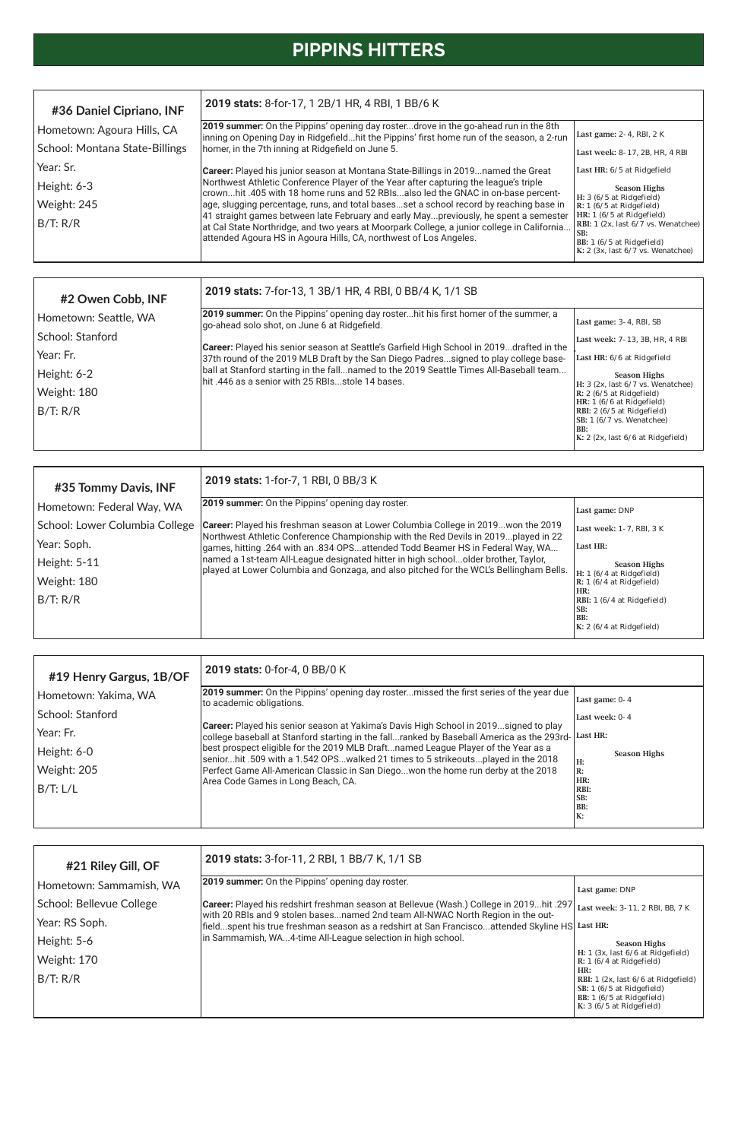| #36 Daniel Cipriano, INF       | 2019 stats: 8-for-17, 1 2B/1 HR, 4 RBI, 1 BB/6 K                                                                                                                                                                                                        |                                                                                                                                                |  |
|--------------------------------|---------------------------------------------------------------------------------------------------------------------------------------------------------------------------------------------------------------------------------------------------------|------------------------------------------------------------------------------------------------------------------------------------------------|--|
| Hometown: Agoura Hills, CA     | [2019 summer: On the Pippins' opening day rosterdrove in the go-ahead run in the 8th<br>inning on Opening Day in Ridgefieldhit the Pippins' first home run of the season, a 2-run                                                                       | Last game: 2-4, RBI, 2 K                                                                                                                       |  |
| School: Montana State-Billings | homer, in the 7th inning at Ridgefield on June 5.                                                                                                                                                                                                       | Last week: 8-17, 2B, HR, 4 RBI                                                                                                                 |  |
| Year: Sr.                      | <b>Career:</b> Played his junior season at Montana State-Billings in 2019named the Great                                                                                                                                                                | Last HR: 6/5 at Ridgefield                                                                                                                     |  |
| Height: 6-3                    | Northwest Athletic Conference Player of the Year after capturing the league's triple<br>crownhit .405 with 18 home runs and 52 RBIsalso led the GNAC in on-base percent-                                                                                | <b>Season Highs</b>                                                                                                                            |  |
| Weight: 245                    | age, slugging percentage, runs, and total basesset a school record by reaching base in                                                                                                                                                                  | H: 3 (6/5 at Ridgefield)<br>$R: 1$ (6/5 at Ridgefield)                                                                                         |  |
| B/T: R/R                       | 41 straight games between late February and early Maypreviously, he spent a semester<br>at Cal State Northridge, and two years at Moorpark College, a junior college in California<br>attended Agoura HS in Agoura Hills, CA, northwest of Los Angeles. | HR: 1 (6/5 at Ridgefield)<br>RBI: 1 (2x, last 6/7 vs. Wenatchee)<br>SB:<br>BB: $1(6/5$ at Ridgefield)<br>K: $2$ (3x, last $6/7$ vs. Wenatchee) |  |

# **PIPPINS HITTERS**

| #2 Owen Cobb, INF     | 2019 stats: 7-for-13, 1 3B/1 HR, 4 RBI, 0 BB/4 K, 1/1 SB                                                                                                                                |                                                                                                                                                         |
|-----------------------|-----------------------------------------------------------------------------------------------------------------------------------------------------------------------------------------|---------------------------------------------------------------------------------------------------------------------------------------------------------|
| Hometown: Seattle, WA | 2019 summer: On the Pippins' opening day rosterhit his first homer of the summer, a<br>go-ahead solo shot, on June 6 at Ridgefield.                                                     | Last game: 3-4, RBI, SB                                                                                                                                 |
| School: Stanford      |                                                                                                                                                                                         | Last week: 7-13, 3B, HR, 4 RBI                                                                                                                          |
| Year: Fr.             | <b>Career:</b> Played his senior season at Seattle's Garfield High School in 2019drafted in the<br>37th round of the 2019 MLB Draft by the San Diego Padressigned to play college base- | Last HR: 6/6 at Ridgefield                                                                                                                              |
| Height: 6-2           | ball at Stanford starting in the fallnamed to the 2019 Seattle Times All-Baseball team<br>lhit .446 as a senior with 25 RBIsstole 14 bases.                                             | <b>Season Highs</b><br>H: 3 (2x, last 6/7 vs. Wenatchee)                                                                                                |
| Weight: 180           |                                                                                                                                                                                         | $\mathbf{R}$ : 2 (6/5 at Ridgefield)                                                                                                                    |
| B/T: R/R              |                                                                                                                                                                                         | HR: 1 (6/6 at Ridgefield)<br> RBI: 2 (6/5 at Ridgefield)<br>$\overline{\text{SB}}$ : 1 (6/7 vs. Wenatchee)<br>IBB:<br>K: 2 (2x, last 6/6 at Ridgefield) |

| #19 Henry Gargus, 1B/OF | 2019 stats: 0-for-4, 0 BB/0 K                                                                                                                                                                     |                              |
|-------------------------|---------------------------------------------------------------------------------------------------------------------------------------------------------------------------------------------------|------------------------------|
| Hometown: Yakima, WA    | 2019 summer: On the Pippins' opening day rostermissed the first series of the year due<br>to academic obligations.                                                                                | Last game: 0-4               |
| School: Stanford        |                                                                                                                                                                                                   | Last week: 0-4               |
| Year: Fr.               | <b>Career:</b> Played his senior season at Yakima's Davis High School in 2019signed to play<br>college baseball at Stanford starting in the fallranked by Baseball America as the 293rd- Last HR: |                              |
| Height: 6-0             | best prospect eligible for the 2019 MLB Draftnamed League Player of the Year as a<br>seniorhit .509 with a 1.542 OPSwalked 21 times to 5 strikeoutsplayed in the 2018                             | <b>Season Highs</b><br>H:    |
| Weight: 205             | Perfect Game All-American Classic in San Diegowon the home run derby at the 2018                                                                                                                  | R:                           |
| B/T: L/L                | Area Code Games in Long Beach, CA.<br> K:                                                                                                                                                         | IHR:<br>RBI:<br>ISB:<br>IBB: |

| #21 Riley Gill, OF       | 2019 stats: 3-for-11, 2 RBI, 1 BB/7 K, 1/1 SB                                                                                                                              |                                                                                                                                        |
|--------------------------|----------------------------------------------------------------------------------------------------------------------------------------------------------------------------|----------------------------------------------------------------------------------------------------------------------------------------|
| Hometown: Sammamish, WA  | <b>2019 summer:</b> On the Pippins' opening day roster.                                                                                                                    | Last game: DNP                                                                                                                         |
| School: Bellevue College | Career: Played his redshirt freshman season at Bellevue (Wash.) College in 2019hit .297<br>with 20 RBIs and 9 stolen basesnamed 2nd team All-NWAC North Region in the out- | Last week: 3-11, 2 RBI, BB, 7 K                                                                                                        |
| Year: RS Soph.           | fieldspent his true freshman season as a redshirt at San Franciscoattended Skyline HS Last HR:                                                                             |                                                                                                                                        |
| Height: 5-6              | In Sammamish, WA4-time All-League selection in high school.                                                                                                                | <b>Season Highs</b>                                                                                                                    |
| Weight: 170              |                                                                                                                                                                            | H: $1$ (3x, last $6/6$ at Ridgefield)<br>R: $1(6/4$ at Ridgefield                                                                      |
| B/T: R/R                 |                                                                                                                                                                            | HR:<br>RBI: $1$ (2x, last $6/6$ at Ridgefield)<br>SB: 1 (6/5 at Ridgefield)<br>BB: $1(6/5$ at Ridgefield)<br>K: $3(6/5$ at Ridgefield) |

| #35 Tommy Davis, INF           | 2019 stats: 1-for-7, 1 RBI, 0 BB/3 K                                                                                                                                                                                                                                                                                                                 |                                                                 |
|--------------------------------|------------------------------------------------------------------------------------------------------------------------------------------------------------------------------------------------------------------------------------------------------------------------------------------------------------------------------------------------------|-----------------------------------------------------------------|
| Hometown: Federal Way, WA      | <b>2019 summer:</b> On the Pippins' opening day roster.                                                                                                                                                                                                                                                                                              | Last game: DNP                                                  |
| School: Lower Columbia College | <b>Career:</b> Played his freshman season at Lower Columbia College in 2019won the 2019                                                                                                                                                                                                                                                              | Last week: 1-7, RBI, 3 K                                        |
| Year: Soph.                    | Northwest Athletic Conference Championship with the Red Devils in 2019played in 22<br>games, hitting .264 with an .834 OPSattended Todd Beamer HS in Federal Way, WA<br>named a 1st-team All-League designated hitter in high schoololder brother, Taylor,<br>played at Lower Columbia and Gonzaga, and also pitched for the WCL's Bellingham Bells. | Last HR:                                                        |
| Height: 5-11                   |                                                                                                                                                                                                                                                                                                                                                      | <b>Season Highs</b>                                             |
| Weight: 180                    |                                                                                                                                                                                                                                                                                                                                                      | H: 1 (6/4 at Ridgefield)<br>$\mathbf{R:}$ 1 (6/4 at Ridgefield) |
| B/T: R/R                       |                                                                                                                                                                                                                                                                                                                                                      | HR:<br>RBI: 1 (6/4 at Ridgefield)                               |
|                                |                                                                                                                                                                                                                                                                                                                                                      | SB:<br>IBB:<br>$K: 2(6/4$ at Ridgefield                         |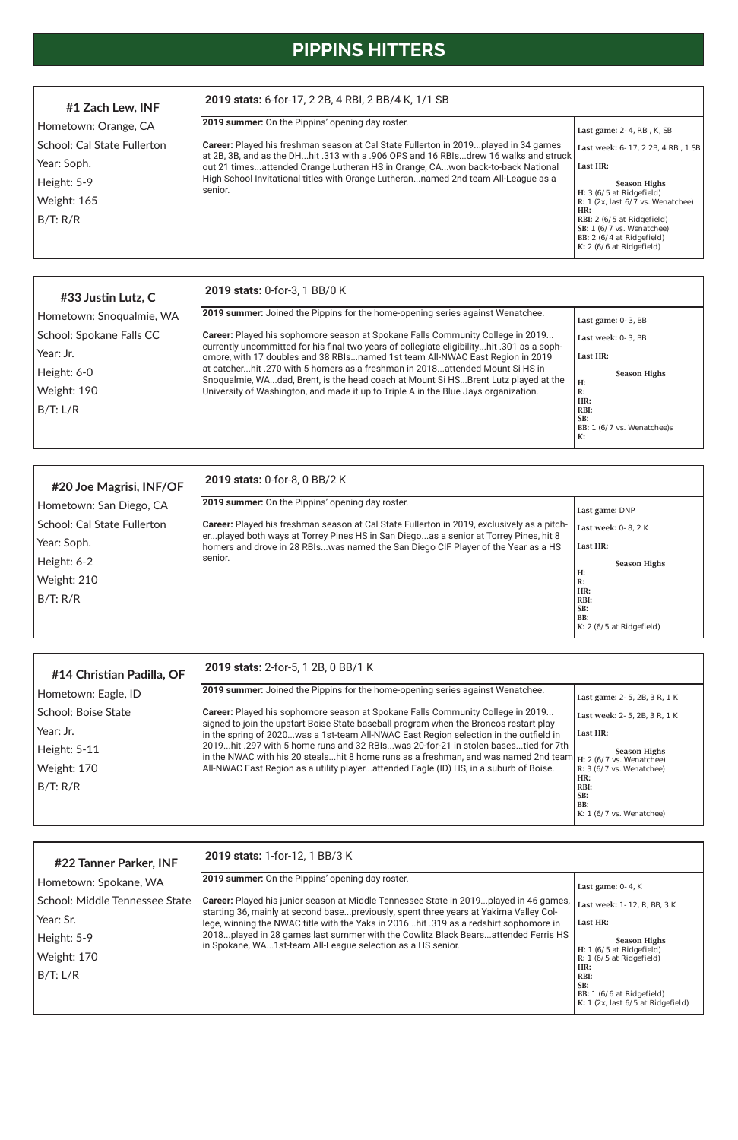# **PIPPINS HITTERS**

| #20 Joe Magrisi, INF/OF            | 2019 stats: 0-for-8, 0 BB/2 K                                                                                                                                             |                                        |
|------------------------------------|---------------------------------------------------------------------------------------------------------------------------------------------------------------------------|----------------------------------------|
| Hometown: San Diego, CA            | <b>2019 summer:</b> On the Pippins' opening day roster.                                                                                                                   | Last game: DNP                         |
| <b>School: Cal State Fullerton</b> | <b>Career:</b> Played his freshman season at Cal State Fullerton in 2019, exclusively as a pitch-                                                                         | Last week: 0-8, 2 K                    |
| Year: Soph.                        | erplayed both ways at Torrey Pines HS in San Diegoas a senior at Torrey Pines, hit 8<br>homers and drove in 28 RBIswas named the San Diego CIF Player of the Year as a HS | Last HR:                               |
| Height: 6-2                        | Isenior.                                                                                                                                                                  | <b>Season Highs</b>                    |
| Weight: 210                        |                                                                                                                                                                           | Н:<br>R:                               |
| B/T: R/R                           |                                                                                                                                                                           | HR:<br>RBI:                            |
|                                    |                                                                                                                                                                           | SB:<br>BB:<br>K: $2(6/5$ at Ridgefield |

| #14 Christian Padilla, OF | 2019 stats: 2-for-5, 1 2B, 0 BB/1 K                                                                                                                                                                       |                                                         |
|---------------------------|-----------------------------------------------------------------------------------------------------------------------------------------------------------------------------------------------------------|---------------------------------------------------------|
| Hometown: Eagle, ID       | 2019 summer: Joined the Pippins for the home-opening series against Wenatchee.                                                                                                                            | Last game: 2-5, 2B, 3 R, 1 K                            |
| School: Boise State       | <b>Career:</b> Played his sophomore season at Spokane Falls Community College in 2019                                                                                                                     | Last week: 2-5, 2B, 3 R, 1 K                            |
| Year: Jr.                 | signed to join the upstart Boise State baseball program when the Broncos restart play<br>in the spring of 2020was a 1st-team All-NWAC East Region selection in the outfield in                            | Last HR:                                                |
| Height: 5-11              | 2019…hit .297 with 5 home runs and 32 RBIs…was 20-for-21 in stolen bases…tied for 7th<br>$\lim$ the NWAC with his 20 stealshit 8 home runs as a freshman, and was named 2nd team H: 2 (6/7 vs. Wenatchee) | <b>Season Highs</b>                                     |
| Weight: 170               | All-NWAC East Region as a utility playerattended Eagle (ID) HS, in a suburb of Boise.                                                                                                                     | $\mathbf{R: } 3 \times 6/7$ vs. Wenatchee)              |
| B/T: R/R                  |                                                                                                                                                                                                           | HR:<br>RBI:<br>SB:<br>l BB:<br>K: 1 (6/7 vs. Wenatchee) |

| #22 Tanner Parker, INF         | 2019 stats: 1-for-12, 1 BB/3 K                                                                                                                                                        |                                                                                          |
|--------------------------------|---------------------------------------------------------------------------------------------------------------------------------------------------------------------------------------|------------------------------------------------------------------------------------------|
| Hometown: Spokane, WA          | <b>2019 summer:</b> On the Pippins' opening day roster.                                                                                                                               | Last game: $0-4$ , K                                                                     |
| School: Middle Tennessee State | <b>Career:</b> Played his junior season at Middle Tennessee State in 2019played in 46 games,<br>starting 36, mainly at second basepreviously, spent three years at Yakima Valley Col- | Last week: 1-12, R, BB, 3 K                                                              |
| Year: Sr.                      | lege, winning the NWAC title with the Yaks in 2016hit .319 as a redshirt sophomore in                                                                                                 | Last HR:                                                                                 |
| Height: 5-9                    | 2018played in 28 games last summer with the Cowlitz Black Bearsattended Ferris HS<br>in Spokane, WA1st-team All-League selection as a HS senior.                                      | <b>Season Highs</b>                                                                      |
| Weight: 170                    |                                                                                                                                                                                       | H: $1(6/5$ at Ridgefield<br>R: 1 (6/5 at Ridgefield)                                     |
| B/T: L/R                       |                                                                                                                                                                                       | HR:<br>RBI:<br>SB:<br>BB: $1(6/6$ at Ridgefield<br>K: $1$ (2x, last $6/5$ at Ridgefield) |

| #1 Zach Lew, INF            | 2019 stats: 6-for-17, 2 2B, 4 RBI, 2 BB/4 K, 1/1 SB                                                                                                                                |                                                                                                                          |
|-----------------------------|------------------------------------------------------------------------------------------------------------------------------------------------------------------------------------|--------------------------------------------------------------------------------------------------------------------------|
| Hometown: Orange, CA        | <b>2019 summer:</b> On the Pippins' opening day roster.                                                                                                                            | Last game: 2-4, RBI, K, SB                                                                                               |
| School: Cal State Fullerton | <b>Career:</b> Played his freshman season at Cal State Fullerton in 2019played in 34 games<br>at 2B, 3B, and as the DHhit .313 with a .906 OPS and 16 RBIsdrew 16 walks and struck | Last week: 6-17, 2 2B, 4 RBI, 1 SB                                                                                       |
| Year: Soph.                 | out 21 timesattended Orange Lutheran HS in Orange, CAwon back-to-back National                                                                                                     | Last HR:                                                                                                                 |
| Height: 5-9                 | High School Invitational titles with Orange Lutherannamed 2nd team All-League as a<br>Isenior.                                                                                     | <b>Season Highs</b>                                                                                                      |
| Weight: 165                 |                                                                                                                                                                                    | H: 3 (6/5 at Ridgefield)<br>R: $1$ (2x, last $6/7$ vs. Wenatchee)                                                        |
| B/T: R/R                    |                                                                                                                                                                                    | HR:<br>RBI: 2 (6/5 at Ridgefield)<br>SB: 1 (6/7 vs. Wenatchee)<br>BB: $2(6/4$ at Ridgefield<br>K: $2(6/6$ at Ridgefield) |

| #33 Justin Lutz, C       | 2019 stats: 0-for-3, 1 BB/0 K                                                                                                                                                       |                                                                         |
|--------------------------|-------------------------------------------------------------------------------------------------------------------------------------------------------------------------------------|-------------------------------------------------------------------------|
| Hometown: Snoqualmie, WA | 2019 summer: Joined the Pippins for the home-opening series against Wenatchee.                                                                                                      | Last game: $0-3$ , BB                                                   |
| School: Spokane Falls CC | <b>Career:</b> Played his sophomore season at Spokane Falls Community College in 2019<br>currently uncommitted for his final two years of collegiate eligibilityhit .301 as a soph- | Last week: 0-3, BB                                                      |
| Year: Jr.                | omore, with 17 doubles and 38 RBIsnamed 1st team All-NWAC East Region in 2019                                                                                                       | Last HR:                                                                |
| Height: 6-0              | at catcherhit .270 with 5 homers as a freshman in 2018attended Mount Si HS in<br>Snoqualmie, WAdad, Brent, is the head coach at Mount Si HSBrent Lutz played at the                 | <b>Season Highs</b><br>H:                                               |
| Weight: 190              | University of Washington, and made it up to Triple A in the Blue Jays organization.                                                                                                 | R:                                                                      |
| B/T: L/R                 |                                                                                                                                                                                     | HR:<br>RBI:<br>SB:<br>BB: $1(6/7 \text{ vs. } \text{Wenatchee})s$<br>К: |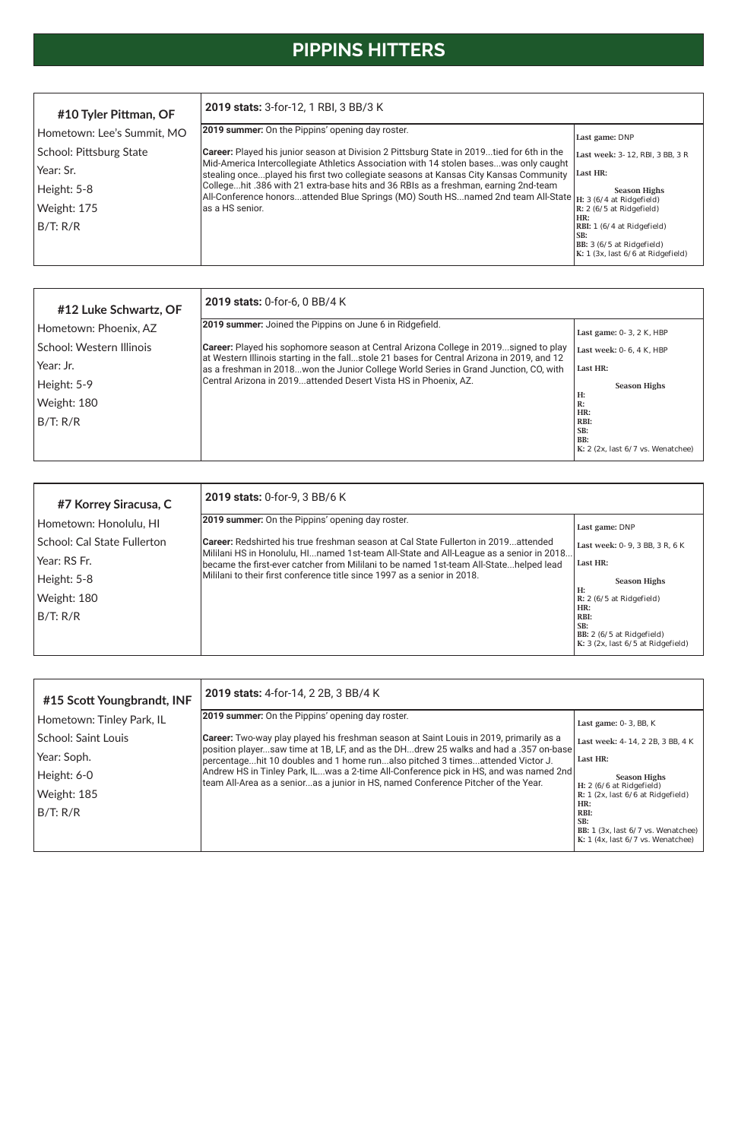| #15 Scott Youngbrandt, INF | 2019 stats: 4-for-14, 2 2B, 3 BB/4 K                                                                                                                                       |                                                                                                |
|----------------------------|----------------------------------------------------------------------------------------------------------------------------------------------------------------------------|------------------------------------------------------------------------------------------------|
| Hometown: Tinley Park, IL  | 2019 summer: On the Pippins' opening day roster.                                                                                                                           | Last game: $0-3$ , BB, K                                                                       |
| School: Saint Louis        | <b>Career:</b> Two-way play played his freshman season at Saint Louis in 2019, primarily as a                                                                              | Last week: 4-14, 2 2B, 3 BB, 4 K                                                               |
| Year: Soph.                | position playersaw time at 1B, LF, and as the DHdrew 25 walks and had a .357 on-base<br>percentagehit 10 doubles and 1 home runalso pitched 3 timesattended Victor J.      | Last HR:                                                                                       |
| Height: 6-0                | Andrew HS in Tinley Park, ILwas a 2-time All-Conference pick in HS, and was named 2nd<br>team All-Area as a senioras a junior in HS, named Conference Pitcher of the Year. | <b>Season Highs</b>                                                                            |
| Weight: 185                |                                                                                                                                                                            | H: 2 (6/6 at Ridgefield)<br>R: $1$ (2x, last $6/6$ at Ridgefield)                              |
| B/T: R/R                   |                                                                                                                                                                            | HR:<br>RBI:                                                                                    |
|                            |                                                                                                                                                                            | SB:<br>BB: $1$ (3x, last $6/7$ vs. Wenatchee)<br>$T^{2}$ 4 (4 1 + 0 $/$ $\sigma$ $T^{3}$ + 1 \ |

# **PIPPINS HITTERS**

|  | 1 (4x, last 6/7 vs. Wenatchee)<br>V. |
|--|--------------------------------------|
|  |                                      |

| #7 Korrey Siracusa, C       | 2019 stats: 0-for-9, 3 BB/6 K                                                                                                                                                   |                                                                       |  |  |  |  |  |  |  |
|-----------------------------|---------------------------------------------------------------------------------------------------------------------------------------------------------------------------------|-----------------------------------------------------------------------|--|--|--|--|--|--|--|
| Hometown: Honolulu, HI      | 2019 summer: On the Pippins' opening day roster.                                                                                                                                | Last game: DNP                                                        |  |  |  |  |  |  |  |
| School: Cal State Fullerton | <b>Career:</b> Redshirted his true freshman season at Cal State Fullerton in 2019attended                                                                                       | Last week: 0-9, 3 BB, 3 R, 6 K                                        |  |  |  |  |  |  |  |
| Year: RS Fr.                | Mililani HS in Honolulu, HInamed 1st-team All-State and All-League as a senior in 2018<br>became the first-ever catcher from Mililani to be named 1st-team All-Statehelped lead | Last HR:                                                              |  |  |  |  |  |  |  |
| Height: 5-8                 | Mililani to their first conference title since 1997 as a senior in 2018.                                                                                                        | <b>Season Highs</b>                                                   |  |  |  |  |  |  |  |
| Weight: 180                 |                                                                                                                                                                                 | Н:<br>R: 2 (6/5 at Ridgefield)                                        |  |  |  |  |  |  |  |
| B/T: R/R                    |                                                                                                                                                                                 | HR:<br>RBI:                                                           |  |  |  |  |  |  |  |
|                             |                                                                                                                                                                                 | SB:<br>BB: 2 (6/5 at Ridgefield)<br>K: 3 (2x, last 6/5 at Ridgefield) |  |  |  |  |  |  |  |

| #12 Luke Schwartz, OF    | 2019 stats: 0-for-6, 0 BB/4 K                                                                                                                                                             |                                                     |  |  |  |  |  |  |
|--------------------------|-------------------------------------------------------------------------------------------------------------------------------------------------------------------------------------------|-----------------------------------------------------|--|--|--|--|--|--|
| Hometown: Phoenix, AZ    | 2019 summer: Joined the Pippins on June 6 in Ridgefield.                                                                                                                                  | Last game: $0-3$ , $2K$ , HBP                       |  |  |  |  |  |  |
| School: Western Illinois | <b>Career:</b> Played his sophomore season at Central Arizona College in 2019signed to play<br>at Western Illinois starting in the fallstole 21 bases for Central Arizona in 2019, and 12 | Last week: 0-6, 4 K, HBP                            |  |  |  |  |  |  |
| Year: Jr.                | as a freshman in 2018won the Junior College World Series in Grand Junction, CO, with                                                                                                      | Last HR:                                            |  |  |  |  |  |  |
| Height: 5-9              | Central Arizona in 2019attended Desert Vista HS in Phoenix, AZ.                                                                                                                           | <b>Season Highs</b>                                 |  |  |  |  |  |  |
| Weight: 180              |                                                                                                                                                                                           | H:<br>R:<br>HR:                                     |  |  |  |  |  |  |
| B/T: R/R                 |                                                                                                                                                                                           | RBI:                                                |  |  |  |  |  |  |
|                          |                                                                                                                                                                                           | SB:<br>BB:<br>K: $2$ (2x, last $6/7$ vs. Wenatchee) |  |  |  |  |  |  |

| #10 Tyler Pittman, OF      | 2019 stats: 3-for-12, 1 RBI, 3 BB/3 K                                                                                                                                                             |                                                                                                             |  |  |  |  |  |  |
|----------------------------|---------------------------------------------------------------------------------------------------------------------------------------------------------------------------------------------------|-------------------------------------------------------------------------------------------------------------|--|--|--|--|--|--|
| Hometown: Lee's Summit, MO | 2019 summer: On the Pippins' opening day roster.                                                                                                                                                  | Last game: DNP                                                                                              |  |  |  |  |  |  |
| School: Pittsburg State    | <b>Career:</b> Played his junior season at Division 2 Pittsburg State in 2019tied for 6th in the                                                                                                  | Last week: 3-12, RBI, 3 BB, 3 R                                                                             |  |  |  |  |  |  |
| Year: Sr.                  | Mid-America Intercollegiate Athletics Association with 14 stolen baseswas only caught<br>stealing onceplayed his first two collegiate seasons at Kansas City Kansas Community                     | Last HR:                                                                                                    |  |  |  |  |  |  |
| Height: 5-8                | Collegehit .386 with 21 extra-base hits and 36 RBIs as a freshman, earning 2nd-team<br>All-Conference honorsattended Blue Springs (MO) South HSnamed 2nd team All-State  H: 3 (6/4 at Ridgefield) | <b>Season Highs</b>                                                                                         |  |  |  |  |  |  |
| Weight: 175                | las a HS senior.                                                                                                                                                                                  | $\mathbf{R:} 2 \times 6/5$ at Ridgefield                                                                    |  |  |  |  |  |  |
| B/T: R/R                   |                                                                                                                                                                                                   | HR:<br>RBI: 1 (6/4 at Ridgefield)<br>ISB:<br>BB: 3 (6/5 at Ridgefield)<br>K: 1 (3x, last 6/6 at Ridgefield) |  |  |  |  |  |  |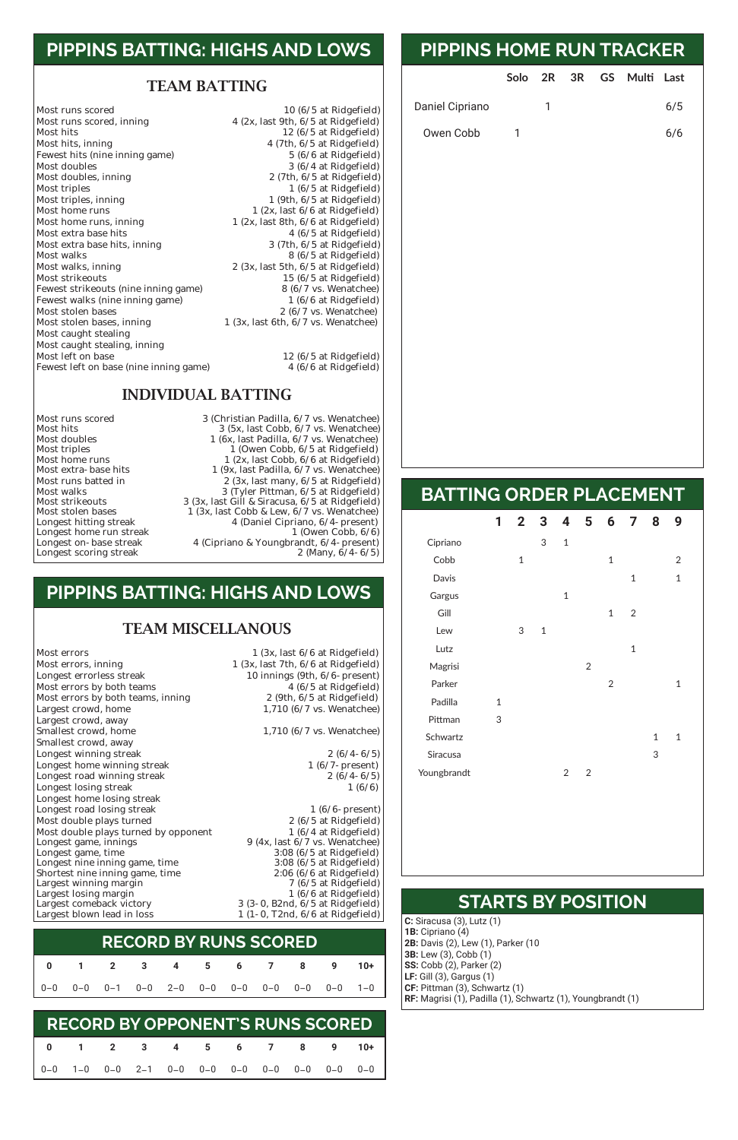## **PIPPINS BATTING: HIGHS AND LOWS**

#### TEAM BATTING

Most runs scored<br>
Most runs scored, inning<br>  $4 (2x, last 9th, 6/5 at Ridgefield)$ Most hits<br>
Most hits, inning<br>
Most hits, inning<br>
Most hits, inning<br>
Most hits, inning<br>
Most hits, inning<br>
Most hits, inning<br>
Most hits, inning<br>
Most hits, inning<br>
Most hits, inning<br>
Most hits, inning<br>
Most hits, inning<br>
Mo Fewest hits (nine inning game)<br>Most doubles Most doubles<br>Most doubles, inning<br>Most doubles, inning<br> $2 (7th, 6/5$  at Ridgefield) Most doubles, inning 2 (7th, 6/5 at Ridgefield)<br>Most triples 1 (6/5 at Ridgefield) Most triples<br>
Most triples, inning<br>
Most triples, inning<br>  $1 (9th, 6/5 at Ridgefield)$ Most triples, inning 1 (9th, 6/5 at Ridgefield)<br>Most home runs 1 (2x, last 6/6 at Ridgefield) Most home runs<br>Most home runs, inning<br> $1 (2x, last 6/6 at Ridgefield)$ <br> $1 (2x, last 8th, 6/6 at Ridgefield)$ Most extra base hits 4 (6/5 at Ridgefield)<br>Most extra base hits, inning 3 (7th, 6/5 at Ridgefield) Most extra base hits, inning Most walks<br>Most walks, inning and the set of the set of the set of the set of the S (3x, last 5th, 6/5 at Ridgefield) Most walks, inning 2 (3x, last 5th, 6/5 at Ridgefield)<br>Most strikeouts 15 (6/5 at Ridgefield) Fewest strikeouts (nine inning game) 8 (6/7 vs. Wenatchee)<br>Fewest walks (nine inning game) 1 (6/6 at Ridgefield) Fewest walks (nine inning game)<br>Most stolen bases Most stolen bases<br>Most stolen bases, inning 1 (3x, last 6th, 6/7 vs. Wenatchee) Most caught stealing Most caught stealing, inning Fewest left on base (nine inning game)

4 (2x, last 9th,  $6/5$  at Ridgefield) 4 (7th, 6/5 at Ridgefield)<br>5 (6/6 at Ridgefield) 1 (2x, last 8th,  $6/6$  at Ridgefield) 15 ( $6/5$  at Ridgefield)<br>8 ( $6/7$  vs. Wenatchee) 1 (3x, last 6th,  $6/7$  vs. Wenatchee)

12 ( $6/5$  at Ridgefield)<br>4 ( $6/6$  at Ridgefield)

 Most runs scored 3 (Christian Padilla, 6/7 vs. Wenatchee) Most hits 3 (5x, last Cobb, 6/7 vs. Wenatchee) Most doubles<br>
Most triples<br>
Most triples<br>
Most triples<br>
Most doubles<br>
Most doubles<br>  $\frac{1}{2}$  (Owen Cobb, 6/5 at Ridgefield) Most triples 1 (Owen Cobb, 6/5 at Ridgefield)<br>Most home runs 1 (2x, last Cobb, 6/6 at Ridgefield) Most home runs 1 (2x, last Cobb, 6/6 at Ridgefield)<br>Most extra-base hits 1 (9x, last Padilla, 6/7 vs. Wenatchee) Most extra-base hits 1 (9x, last Padilla, 6/7 vs. Wenatchee) Most runs batted in 2 (3x, last many, 6/5 at Ridgefield)<br>Most walks 3 (Tyler Pittman, 6/5 at Ridgefield) Most walks 3 (Tyler Pittman, 6/5 at Ridgefield) Most strikeouts 3 (3x, last Gill & Siracusa, 6/5 at Ridgefield)<br>Most stolen bases 1 (3x, last Cobb & Lew, 6/7 vs. Wenatchee) Most stolen bases 1 (3x, last Cobb & Lew, 6/7 vs. Wenatchee)<br>Longest hitting streak 4 (Daniel Cipriano, 6/4- present) 4 (Daniel Cipriano, 6/4-present)<br>1 (Owen Cobb, 6/6) 4 (Cipriano & Youngbrandt, 6/4-present)<br>2 (Many, 6/4-6/5)

#### INDIVIDUAL BATTING

Longest home run streak<br>Longest on- base streak Longest scoring streak

|                 | Solo 2R      |   |  | 3R GS Multi Last |     |  |
|-----------------|--------------|---|--|------------------|-----|--|
| Daniel Cipriano |              | 1 |  |                  | 6/5 |  |
| Owen Cobb       | $\mathbf{1}$ |   |  |                  | 6/6 |  |
|                 |              |   |  |                  |     |  |
|                 |              |   |  |                  |     |  |

# **PIPPINS HOME RUN TRACKER**

### **BATTING ORDER PLACEMENT**

|             | 1            |             |              |                |   | 2 3 4 5 6 7 8  |                |              | 9              |  |
|-------------|--------------|-------------|--------------|----------------|---|----------------|----------------|--------------|----------------|--|
| Cipriano    |              |             | 3            | $\overline{1}$ |   |                |                |              |                |  |
| Cobb        |              | $\mathbf 1$ |              |                |   | $\mathbf{1}$   |                |              | $\overline{2}$ |  |
| Davis       |              |             |              |                |   |                | $\overline{1}$ |              | $\mathbf{1}$   |  |
| Gargus      |              |             |              | $\overline{1}$ |   |                |                |              |                |  |
| Gill        |              |             |              |                |   | $\mathbf{1}$   | $\overline{2}$ |              |                |  |
| Lew         |              | 3           | $\mathbf{1}$ |                |   |                |                |              |                |  |
| Lutz        |              |             |              |                |   |                | $\mathbf{1}$   |              |                |  |
| Magrisi     |              |             |              |                | 2 |                |                |              |                |  |
| Parker      |              |             |              |                |   | $\overline{2}$ |                |              | $\mathbf{1}$   |  |
| Padilla     | $\mathbf{1}$ |             |              |                |   |                |                |              |                |  |
| Pittman     | 3            |             |              |                |   |                |                |              |                |  |
| Schwartz    |              |             |              |                |   |                |                | $\mathbf{1}$ | $\mathbf{1}$   |  |
| Siracusa    |              |             |              |                |   |                |                | 3            |                |  |
| Youngbrandt |              |             |              | 2              | 2 |                |                |              |                |  |

**C:** Siracusa (3), Lutz (1) **1B:** Cipriano (4) **2B:** Davis (2), Lew (1), Parker (10 **3B:** Lew (3), Cobb (1) **SS:** Cobb (2), Parker (2) **LF:** Gill (3), Gargus (1) **CF:** Pittman (3), Schwartz (1) **RF:** Magrisi (1), Padilla (1), Schwartz (1), Youngbrandt (1)

# **STARTS BY POSITION**

### **PIPPINS BATTING: HIGHS AND LOWS**

#### TEAM MISCELLANOUS

Most errors<br>
Most errors, inning<br>
Most errors, inning<br>  $1 (3x, last 7th, 6/6 at Ridgefield)$ <br>  $1 (3x, last 7th, 6/6 at Ridgefield)$ Most errors, inning 1 (3x, last 7th, 6/6 at Ridgefield)<br>
Longest errorless streak 10 innings (9th, 6/6- present) Most errors by both teams<br>
Most errors by both teams, inning<br>  $2 (9th, 6/5 at Ridgefield)$ Most errors by both teams, inning<br>Largest crowd, home Largest crowd, away Smallest crowd, away Longest winning streak 2 (6/4-6/5)<br>
Longest home winning streak 2 (6/7-present) Longest home winning streak 1 (6/7-present)<br>
Longest road winning streak 2 (6/4-6/5) Longest road winning streak 2 (6/4-6/5)<br>
Longest losing streak 1 (6/6) Longest losing streak Longest home losing streak Longest road losing streak 1 (6/6-present)<br>Most double plays turned 2 (6/5 at Ridgefield) Most double plays turned<br>
Most double plays turned by opponent<br>
1 (6/4 at Ridgefield)

10 innings (9th,  $6/6$ -present)<br>4 ( $6/5$  at Ridgefield) 1,710 (6/7 vs. Wenatchee)

1,710 ( $6/7$  vs. Wenatchee)

| Most double plays turned by opponent | $1(6/4$ at Ridgefield)             |
|--------------------------------------|------------------------------------|
| Longest game, innings                | $9$ (4x, last $6/7$ vs. Wenatchee) |
| Longest game, time                   | $3:08(6/5$ at Ridgefield)          |
| Longest nine inning game, time       | $3:08(6/5$ at Ridgefield           |
| Shortest nine inning game, time      | $2:06(6/6$ at Ridgefield           |
| Largest winning margin               | 7 (6/5 at Ridgefield)              |
| Largest losing margin                | 1 (6/6 at Ridgefield)              |
| Largest comeback victory             | 3 (3-0, B2nd, 6/5 at Ridgefield)   |
| Largest blown lead in loss           | $1(1-0, T2nd, 6/6$ at Ridgefield)  |

# lidgefield)<br>Ridgefield) Ridgefield)<br>Ridgefield)

|  |  |  |  | $\begin{vmatrix} 0-0 & 0-0 & 0-1 & 0-0 & 2-0 & 0-0 & 0-0 & 0-0 & 0-0 & 0-0 & 1-0 \end{vmatrix}$ |  |
|--|--|--|--|-------------------------------------------------------------------------------------------------|--|

### **RECORD BY RUNS SCORED**

|  | 0 1 2 3 4 5 6 7 8 9 10+                                                                   |  |  |  |  |
|--|-------------------------------------------------------------------------------------------|--|--|--|--|
|  | $\begin{bmatrix} 0-0 & 1-0 & 0-0 & 2-1 & 0-0 & 0-0 & 0-0 & 0-0 & 0-0 & 0-0 \end{bmatrix}$ |  |  |  |  |

# **RECORD BY OPPONENT'S RUNS SCORED**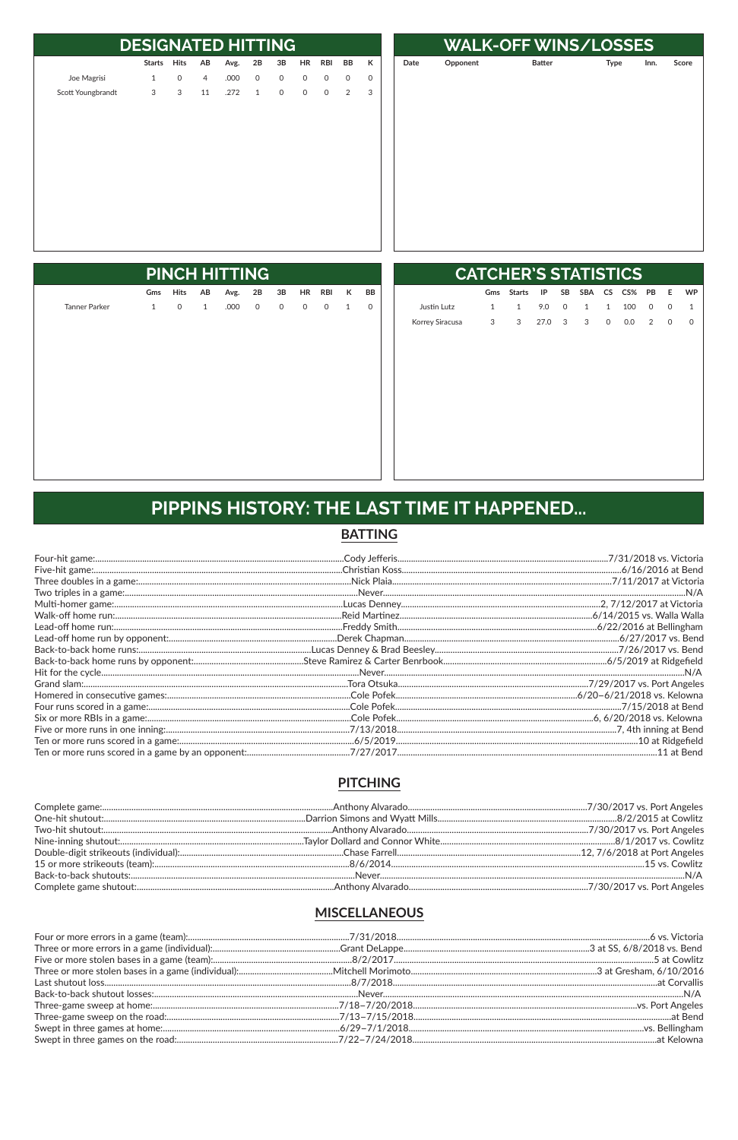| <b>DESIGNATED HITTING</b> |                           |                |                |      |             |                     |                     |             |                | <b>WALK</b>  |      |          |
|---------------------------|---------------------------|----------------|----------------|------|-------------|---------------------|---------------------|-------------|----------------|--------------|------|----------|
|                           | <b>Starts</b>             | <b>Hits</b>    | AB             | Avg. | 2B          | 3B                  | <b>HR</b>           | <b>RBI</b>  | BB             | K            | Date | Opponent |
| Joe Magrisi               | $\mathbf{1}$              | $\mathsf O$    | $\overline{4}$ | .000 | 0           | $\mathsf{O}$        | $\mathsf O$         | $\mathsf O$ | $\mathsf O$    | $\mathsf{O}$ |      |          |
| Scott Youngbrandt         | $\ensuremath{\mathsf{3}}$ | $\mathfrak{S}$ | 11             |      | $.272 \t 1$ | $\mathsf{O}\xspace$ | $\mathsf{O}\xspace$ | $\mathsf O$ | $\overline{2}$ | 3            |      |          |
|                           |                           |                |                |      |             |                     |                     |             |                |              |      |          |
|                           |                           |                |                |      |             |                     |                     |             |                |              |      |          |
|                           |                           |                |                |      |             |                     |                     |             |                |              |      |          |
|                           |                           |                |                |      |             |                     |                     |             |                |              |      |          |
|                           |                           |                |                |      |             |                     |                     |             |                |              |      |          |
|                           |                           |                |                |      |             |                     |                     |             |                |              |      |          |
|                           |                           |                |                |      |             |                     |                     |             |                |              |      |          |
|                           |                           |                |                |      |             |                     |                     |             |                |              |      |          |
|                           |                           |                |                |      |             |                     |                     |             |                |              |      |          |
|                           |                           |                |                |      |             |                     |                     |             |                |              |      |          |

|      |          | <b>WALK-OFF WINS/LOSSES</b> |      |      |       |  |  |  |
|------|----------|-----------------------------|------|------|-------|--|--|--|
| Date | Opponent | <b>Batter</b>               | Type | Inn. | Score |  |  |  |
|      |          |                             |      |      |       |  |  |  |
|      |          |                             |      |      |       |  |  |  |
|      |          |                             |      |      |       |  |  |  |
|      |          |                             |      |      |       |  |  |  |
|      |          |                             |      |      |       |  |  |  |
|      |          |                             |      |      |       |  |  |  |
|      |          |                             |      |      |       |  |  |  |
|      |          |                             |      |      |       |  |  |  |
|      |          |                             |      |      |       |  |  |  |
|      |          |                             |      |      |       |  |  |  |
|      |          |                             |      |      |       |  |  |  |

| <b>PINCH HITTING</b> |              |             |                        |      |    |             |             |             |              |              |
|----------------------|--------------|-------------|------------------------|------|----|-------------|-------------|-------------|--------------|--------------|
|                      | Gms          | <b>Hits</b> | $\mathsf{A}\mathsf{B}$ | Avg. | 2B | 3B          | <b>HR</b>   | <b>RBI</b>  | К            | BB           |
| <b>Tanner Parker</b> | $\mathbf{1}$ | $\mathsf O$ | $\mathbf{1}$           | .000 | 0  | $\mathsf O$ | $\mathsf O$ | $\mathsf O$ | $\mathbf{1}$ | $\mathsf{O}$ |
|                      |              |             |                        |      |    |             |             |             |              |              |
|                      |              |             |                        |      |    |             |             |             |              |              |
|                      |              |             |                        |      |    |             |             |             |              |              |
|                      |              |             |                        |      |    |             |             |             |              |              |
|                      |              |             |                        |      |    |             |             |             |              |              |
|                      |              |             |                        |      |    |             |             |             |              |              |
|                      |              |             |                        |      |    |             |             |             |              |              |
|                      |              |             |                        |      |    |             |             |             |              |              |
|                      |              |             |                        |      |    |             |             |             |              |              |
|                      |              |             |                        |      |    |             |             |             |              |              |
|                      |              |             |                        |      |    |             |             |             |              |              |

| <b>CATCHER'S STATISTICS</b> |              |               |      |                |              |              |     |           |   |              |
|-----------------------------|--------------|---------------|------|----------------|--------------|--------------|-----|-----------|---|--------------|
|                             | Gms          | <b>Starts</b> | IP   | <b>SB</b>      | <b>SBA</b>   | CS           | CS% | <b>PB</b> | E | <b>WP</b>    |
| Justin Lutz                 | $\mathbf{1}$ | $\mathbf{1}$  | 9.0  | 0              | $\mathbf{1}$ | $\mathbf{1}$ | 100 | 0         | 0 | $\mathbf{1}$ |
| Korrey Siracusa             | 3            | 3             | 27.0 | 3 <sup>7</sup> | 3            | 0            | 0.0 | 2         | 0 | 0            |
|                             |              |               |      |                |              |              |     |           |   |              |
|                             |              |               |      |                |              |              |     |           |   |              |
|                             |              |               |      |                |              |              |     |           |   |              |
|                             |              |               |      |                |              |              |     |           |   |              |
|                             |              |               |      |                |              |              |     |           |   |              |
|                             |              |               |      |                |              |              |     |           |   |              |
|                             |              |               |      |                |              |              |     |           |   |              |
|                             |              |               |      |                |              |              |     |           |   |              |
|                             |              |               |      |                |              |              |     |           |   |              |
|                             |              |               |      |                |              |              |     |           |   |              |

# PIPPINS HISTORY: THE LAST TIME IT HAPPENED...

#### **BATTING**

#### **PITCHING**

#### **MISCELLANEOUS**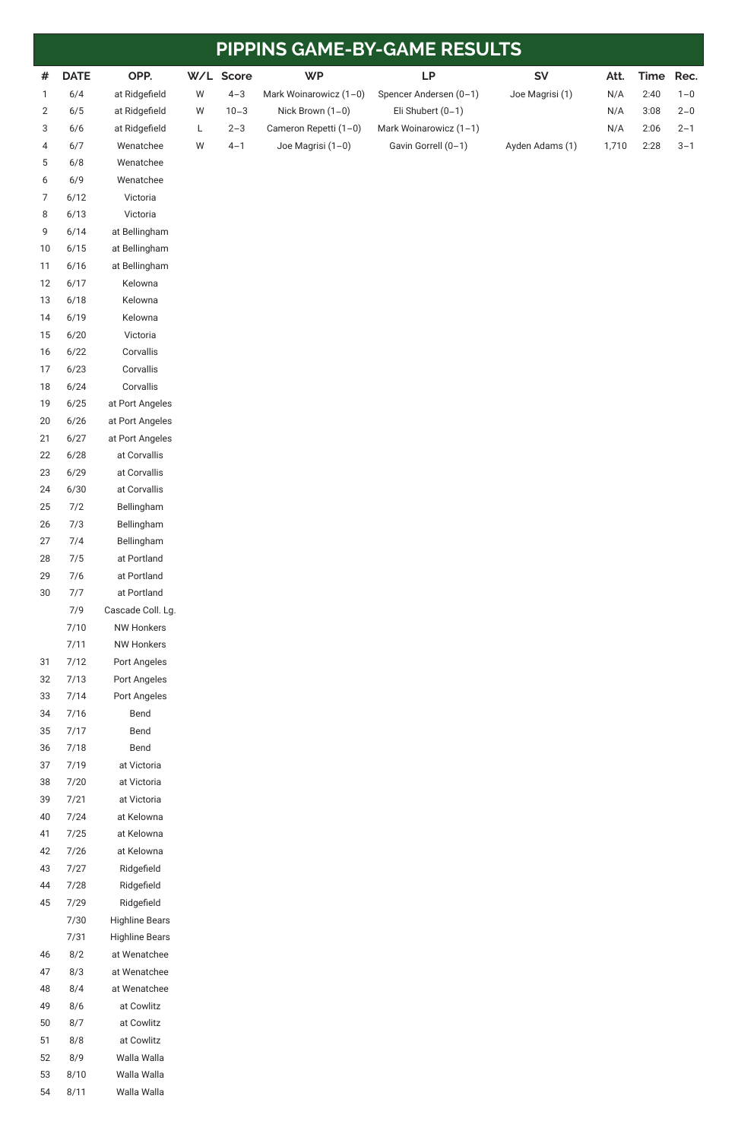|                | PIPPINS GAME-BY-GAME RESULTS |                   |   |           |                        |                        |                 |       |           |         |
|----------------|------------------------------|-------------------|---|-----------|------------------------|------------------------|-----------------|-------|-----------|---------|
| #              | <b>DATE</b>                  | OPP.              |   | W/L Score | <b>WP</b>              | LP                     | <b>SV</b>       | Att.  | Time Rec. |         |
| $\mathbf{1}$   | 6/4                          | at Ridgefield     | W | $4 - 3$   | Mark Woinarowicz (1-0) | Spencer Andersen (0-1) | Joe Magrisi (1) | N/A   | 2:40      | $1 - 0$ |
| $\overline{2}$ | 6/5                          | at Ridgefield     | W | $10 - 3$  | Nick Brown $(1-0)$     | Eli Shubert (0-1)      |                 | N/A   | 3:08      | $2 - 0$ |
| 3              | 6/6                          | at Ridgefield     | L | $2 - 3$   | Cameron Repetti (1-0)  | Mark Woinarowicz (1-1) |                 | N/A   | 2:06      | $2 - 1$ |
| 4              | 6/7                          | Wenatchee         | W | $4 - 1$   | Joe Magrisi (1-0)      | Gavin Gorrell (0-1)    | Ayden Adams (1) | 1,710 | 2:28      | $3 - 1$ |
| 5              | 6/8                          | Wenatchee         |   |           |                        |                        |                 |       |           |         |
| 6              | 6/9                          | Wenatchee         |   |           |                        |                        |                 |       |           |         |
| 7              | 6/12                         | Victoria          |   |           |                        |                        |                 |       |           |         |
| 8              | 6/13                         | Victoria          |   |           |                        |                        |                 |       |           |         |
| 9              | 6/14                         | at Bellingham     |   |           |                        |                        |                 |       |           |         |
| 10             | 6/15                         | at Bellingham     |   |           |                        |                        |                 |       |           |         |
| 11             | 6/16                         | at Bellingham     |   |           |                        |                        |                 |       |           |         |
| 12             | 6/17                         | Kelowna           |   |           |                        |                        |                 |       |           |         |
| 13             | 6/18                         | Kelowna           |   |           |                        |                        |                 |       |           |         |
| 14             | 6/19                         | Kelowna           |   |           |                        |                        |                 |       |           |         |
| 15             | 6/20                         | Victoria          |   |           |                        |                        |                 |       |           |         |
| 16             | 6/22                         | Corvallis         |   |           |                        |                        |                 |       |           |         |
| 17             | 6/23                         | Corvallis         |   |           |                        |                        |                 |       |           |         |
| 18             | 6/24                         | Corvallis         |   |           |                        |                        |                 |       |           |         |
| 19             | 6/25                         | at Port Angeles   |   |           |                        |                        |                 |       |           |         |
| 20             | 6/26                         | at Port Angeles   |   |           |                        |                        |                 |       |           |         |
| 21             | 6/27                         | at Port Angeles   |   |           |                        |                        |                 |       |           |         |
| 22             | 6/28                         | at Corvallis      |   |           |                        |                        |                 |       |           |         |
| 23             | 6/29                         | at Corvallis      |   |           |                        |                        |                 |       |           |         |
| 24             | 6/30                         | at Corvallis      |   |           |                        |                        |                 |       |           |         |
| 25             | 7/2                          | Bellingham        |   |           |                        |                        |                 |       |           |         |
| 26             | 7/3                          | Bellingham        |   |           |                        |                        |                 |       |           |         |
| 27             | 7/4                          | Bellingham        |   |           |                        |                        |                 |       |           |         |
| 28             | 7/5                          | at Portland       |   |           |                        |                        |                 |       |           |         |
| 29             | 7/6                          | at Portland       |   |           |                        |                        |                 |       |           |         |
| 30             | 7/7                          | at Portland       |   |           |                        |                        |                 |       |           |         |
|                | 7/9                          | Cascade Coll. Lg. |   |           |                        |                        |                 |       |           |         |
|                | $7/10$                       | <b>NW Honkers</b> |   |           |                        |                        |                 |       |           |         |
|                | 7/11                         | <b>NW Honkers</b> |   |           |                        |                        |                 |       |           |         |
| 31             | $7/12$                       | Port Angeles      |   |           |                        |                        |                 |       |           |         |
| 32             | 7/13                         | Port Angeles      |   |           |                        |                        |                 |       |           |         |
| 33             | 7/14                         | Port Angeles      |   |           |                        |                        |                 |       |           |         |
| 34             | 7/16                         | Bend              |   |           |                        |                        |                 |       |           |         |
| 35             | 7/17                         | Bend              |   |           |                        |                        |                 |       |           |         |
| 36             | 7/18                         | Bend              |   |           |                        |                        |                 |       |           |         |
| 37             | 7/19                         | at Victoria       |   |           |                        |                        |                 |       |           |         |
| 38             | 7/20                         | at Victoria       |   |           |                        |                        |                 |       |           |         |
| 39             | 7/21                         | at Victoria       |   |           |                        |                        |                 |       |           |         |
| 40             | $7/24$                       | at Kelowna        |   |           |                        |                        |                 |       |           |         |

7/25 at Kelowna

| 42 | 7/26 | at Kelowna            |
|----|------|-----------------------|
| 43 | 7/27 | Ridgefield            |
| 44 | 7/28 | Ridgefield            |
| 45 | 7/29 | Ridgefield            |
|    | 7/30 | <b>Highline Bears</b> |
|    | 7/31 | Highline Bears        |
| 46 | 8/2  | at Wenatchee          |
| 47 | 8/3  | at Wenatchee          |
| 48 | 8/4  | at Wenatchee          |
| 49 | 8/6  | at Cowlitz            |
| 50 | 8/7  | at Cowlitz            |
| 51 | 8/8  | at Cowlitz            |
| 52 | 8/9  | Walla Walla           |
| 53 | 8/10 | Walla Walla           |
| 54 | 8/11 | Walla Walla           |